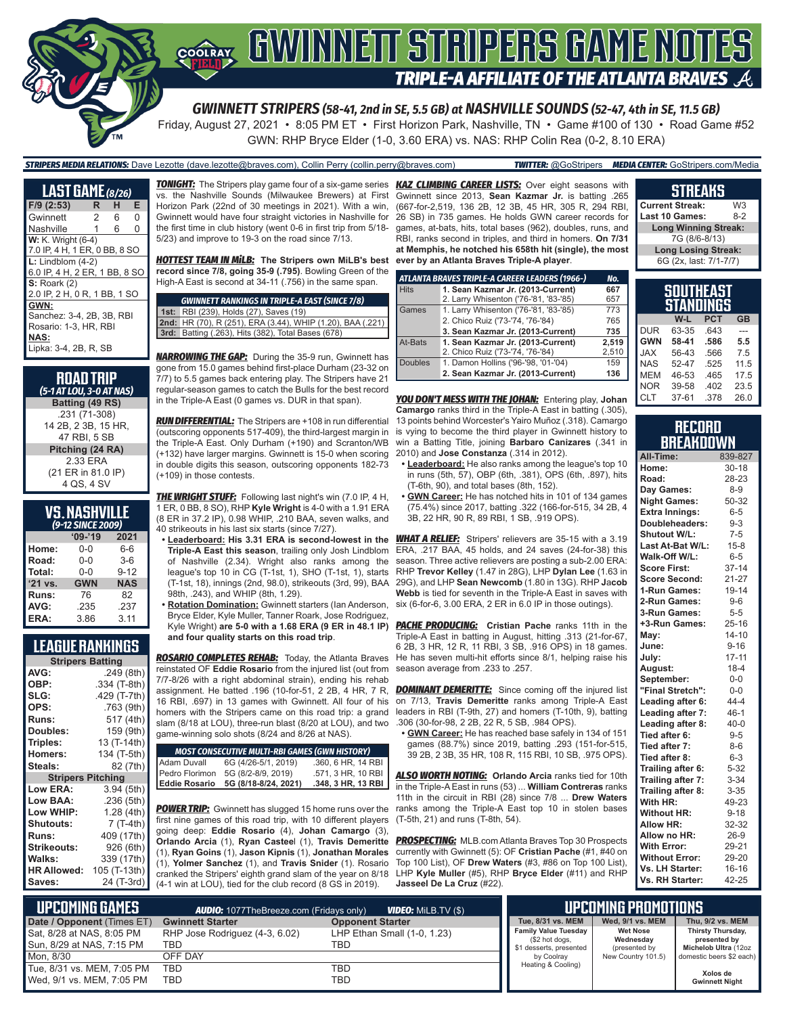

*GWINNETT STRIPERS (58-41, 2nd in SE, 5.5 GB) at NASHVILLE SOUNDS (52-47, 4th in SE, 11.5 GB)*

Friday, August 27, 2021 • 8:05 PM ET • First Horizon Park, Nashville, TN • Game #100 of 130 • Road Game #52 GWN: RHP Bryce Elder (1-0, 3.60 ERA) vs. NAS: RHP Colin Rea (0-2, 8.10 ERA)

#### *STRIPERS MEDIA RELATIONS:* Dave Lezotte (dave.lezotte@braves.com), Collin Perry (collin.perry@braves.com) *TWITTER:* @GoStripers *MEDIA CENTER:* GoStripers.com/Media

| <b>LAST GAME</b> (8/26)       |   |   |   |  |  |  |
|-------------------------------|---|---|---|--|--|--|
| $F/9$ (2:53)                  | R | н | Е |  |  |  |
| Gwinnett                      | 2 | 6 | 0 |  |  |  |
| Nashville                     | 1 | 6 | 0 |  |  |  |
| <b>W:</b> K. Wright (6-4)     |   |   |   |  |  |  |
| 7.0 IP, 4 H, 1 ER, 0 BB, 8 SO |   |   |   |  |  |  |
| $L:$ Lindblom $(4-2)$         |   |   |   |  |  |  |
| 6.0 IP, 4 H, 2 ER, 1 BB, 8 SO |   |   |   |  |  |  |
| $S:$ Roark $(2)$              |   |   |   |  |  |  |
| 2.0 IP, 2 H, 0 R, 1 BB, 1 SO  |   |   |   |  |  |  |
| GWN:                          |   |   |   |  |  |  |
| Sanchez: 3-4, 2B, 3B, RBI     |   |   |   |  |  |  |
| Rosario: 1-3. HR. RBI         |   |   |   |  |  |  |
| NAS:                          |   |   |   |  |  |  |
| Lipka: 3-4, 2B, R, SB         |   |   |   |  |  |  |

| <b>ROAD TRIP</b><br>(5-1 AT LOU, 3-0 AT NAS) |
|----------------------------------------------|
| Batting (49 RS)                              |
| .231 (71-308)                                |
| 14 2B, 2 3B, 15 HR,                          |
| 47 RBI, 5 SB                                 |
| Pitching (24 RA)                             |
| 2.33 ERA                                     |
| (21 ER in 81.0 IP)                           |
| 4 QS, 4 SV                                   |

#### **VS. NASHVILLE**  *(9-12 SINCE 2009)*

|         | $09 - 19$  | 2021       |
|---------|------------|------------|
| Home:   | $0 - 0$    | 6-6        |
| Road:   | $0 - 0$    | $3-6$      |
| Total:  | $0 - 0$    | $9 - 12$   |
| '21 vs. | <b>GWN</b> | <b>NAS</b> |
| Runs:   | 76         | 82         |
| AVG:    | .235       | .237       |
| ERA:    | 3.86       | 3.11       |

### **LEAGUE RANKINGS**

| <b>Stripers Batting</b>  |              |  |  |  |  |
|--------------------------|--------------|--|--|--|--|
| AVG:                     | .249 (8th)   |  |  |  |  |
| OBP:                     | .334 (T-8th) |  |  |  |  |
| SLG:                     | .429 (T-7th) |  |  |  |  |
| OPS:                     | .763 (9th)   |  |  |  |  |
| <b>Runs:</b>             | 517 (4th)    |  |  |  |  |
| <b>Doubles:</b>          | 159 (9th)    |  |  |  |  |
| Triples:                 | 13 (T-14th)  |  |  |  |  |
| <b>Homers:</b>           | 134 (T-5th)  |  |  |  |  |
| Steals:                  | 82 (7th)     |  |  |  |  |
| <b>Stripers Pitching</b> |              |  |  |  |  |
| <b>Low ERA:</b>          | 3.94 (5th)   |  |  |  |  |
| Low BAA:                 | .236 (5th)   |  |  |  |  |
| Low WHIP:                | 1.28 (4th)   |  |  |  |  |
| <b>Shutouts:</b>         | 7 (T-4th)    |  |  |  |  |
| <b>Runs:</b>             | 409 (17th)   |  |  |  |  |
| Strikeouts:              | 926 (6th)    |  |  |  |  |
| Walks:                   | 339 (17th)   |  |  |  |  |
| <b>HR Allowed:</b>       | 105 (T-13th) |  |  |  |  |
| Saves:                   | 24 (T-3rd)   |  |  |  |  |

vs. the Nashville Sounds (Milwaukee Brewers) at First Horizon Park (22nd of 30 meetings in 2021). With a win, Gwinnett would have four straight victories in Nashville for the first time in club history (went 0-6 in first trip from 5/18- 5/23) and improve to 19-3 on the road since 7/13.

*HOTTEST TEAM IN MiLB:* **The Stripers own MiLB's best record since 7/8, going 35-9 (.795)**. Bowling Green of the High-A East is second at 34-11 (.756) in the same span.

#### *GWINNETT RANKINGS IN TRIPLE-A EAST (SINCE 7/8)* **1st:** RBI (239), Holds (27), Saves (19)

**2nd:** HR (70), R (251), ERA (3.44), WHIP (1.20), BAA (.221) **3rd:** Batting (.263), Hits (382), Total Bases (678)

**NARROWING THE GAP:** During the 35-9 run, Gwinnett has gone from 15.0 games behind first-place Durham (23-32 on 7/7) to 5.5 games back entering play. The Stripers have 21 regular-season games to catch the Bulls for the best record in the Triple-A East (0 games vs. DUR in that span).

*RUN DIFFERENTIAL:* The Stripers are +108 in run differential (outscoring opponents 517-409), the third-largest margin in the Triple-A East. Only Durham (+190) and Scranton/WB (+132) have larger margins. Gwinnett is 15-0 when scoring in double digits this season, outscoring opponents 182-73 (+109) in those contests.

*THE WRIGHT STUFF:* Following last night's win (7.0 IP, 4 H, 1 ER, 0 BB, 8 SO), RHP **Kyle Wright** is 4-0 with a 1.91 ERA (8 ER in 37.2 IP), 0.98 WHIP, .210 BAA, seven walks, and 40 strikeouts in his last six starts (since 7/27).

**Triple-A East this season**, trailing only Josh Lindblom of Nashville (2.34). Wright also ranks among the league's top 10 in CG (T-1st, 1), SHO (T-1st, 1), starts (T-1st, 18), innings (2nd, 98.0), strikeouts (3rd, 99), BAA 98th, .243), and WHIP (8th, 1.29).

**• Rotation Domination:** Gwinnett starters (Ian Anderson, Bryce Elder, Kyle Muller, Tanner Roark, Jose Rodriguez, Kyle Wright) **are 5-0 with a 1.68 ERA (9 ER in 48.1 IP) and four quality starts on this road trip**.

*ROSARIO COMPLETES REHAB:* Today, the Atlanta Braves reinstated OF **Eddie Rosario** from the injured list (out from 7/7-8/26 with a right abdominal strain), ending his rehab assignment. He batted .196 (10-for-51, 2 2B, 4 HR, 7 R, 16 RBI, .697) in 13 games with Gwinnett. All four of his homers with the Stripers came on this road trip: a grand slam (8/18 at LOU), three-run blast (8/20 at LOU), and two game-winning solo shots (8/24 and 8/26 at NAS).

| MOST CONSECUTIVE MULTI-RBI GAMES (GWN HISTORY) |                      |                    |  |  |  |
|------------------------------------------------|----------------------|--------------------|--|--|--|
| Adam Duvall                                    | 6G (4/26-5/1, 2019)  | .360, 6 HR, 14 RBI |  |  |  |
| Pedro Florimon                                 | 5G (8/2-8/9, 2019)   | .571, 3 HR, 10 RBI |  |  |  |
| <b>Eddie Rosario</b>                           | 5G (8/18-8/24, 2021) | .348, 3 HR, 13 RBI |  |  |  |

**POWER TRIP:** Gwinnett has slugged 15 home runs over the first nine games of this road trip, with 10 different players going deep: **Eddie Rosario** (4), **Johan Camargo** (3), **Orlando Arcia** (1), **Ryan Castee**l (1), **Travis Demeritte** (1), **Ryan Goins** (1), **Jason Kipnis** (1), **Jonathan Morales** (1), **Yolmer Sanchez** (1), and **Travis Snider** (1). Rosario cranked the Stripers' eighth grand slam of the year on 8/18 (4-1 win at LOU), tied for the club record (8 GS in 2019).

*TONIGHT:* The Stripers play game four of a six-game series *KAZ CLIMBING CAREER LISTS:* Over eight seasons with Gwinnett since 2013, **Sean Kazmar Jr.** is batting .265 (667-for-2,519, 136 2B, 12 3B, 45 HR, 305 R, 294 RBI, 26 SB) in 735 games. He holds GWN career records for games, at-bats, hits, total bases (962), doubles, runs, and RBI, ranks second in triples, and third in homers. **On 7/31 at Memphis, he notched his 658th hit (single), the most ever by an Atlanta Braves Triple-A player**.

| ATLANTA BRAVES TRIPLE-A CAREER LEADERS (1966-) | No.   |
|------------------------------------------------|-------|
| 1. Sean Kazmar Jr. (2013-Current)              | 667   |
| 2. Larry Whisenton ('76-'81, '83-'85)          | 657   |
| 1. Larry Whisenton ('76-'81, '83-'85)          | 773   |
| 2. Chico Ruiz ('73-'74, '76-'84)               | 765   |
| 3. Sean Kazmar Jr. (2013-Current)              | 735   |
| 1. Sean Kazmar Jr. (2013-Current)              | 2.519 |
| 2. Chico Ruiz ('73-'74, '76-'84)               | 2,510 |
| 1. Damon Hollins ('96-'98, '01-'04)            | 159   |
| 2. Sean Kazmar Jr. (2013-Current)              | 136   |
|                                                |       |

*YOU DON'T MESS WITH THE JOHAN:* Entering play, **Johan Camargo** ranks third in the Triple-A East in batting (.305), 13 points behind Worcester's Yairo Muñoz (.318). Camargo is vying to become the third player in Gwinnett history to win a Batting Title, joining **Barbaro Canizares** (.341 in 2010) and **Jose Constanza** (.314 in 2012).

- **• Leaderboard:** He also ranks among the league's top 10 in runs (5th, 57), OBP (6th, .381), OPS (6th, .897), hits (T-6th, 90), and total bases (8th, 152).
- **• GWN Career:** He has notched hits in 101 of 134 games (75.4%) since 2017, batting .322 (166-for-515, 34 2B, 4 3B, 22 HR, 90 R, 89 RBI, 1 SB, .919 OPS).

**• Leaderboard: His 3.31 ERA is second-lowest in the**  *WHAT A RELIEF:* Stripers' relievers are 35-15 with a 3.19 ERA, .217 BAA, 45 holds, and 24 saves (24-for-38) this season. Three active relievers are posting a sub-2.00 ERA: RHP **Trevor Kelley** (1.47 in 28G), LHP **Dylan Lee** (1.63 in 29G), and LHP **Sean Newcomb** (1.80 in 13G). RHP **J**a**cob Webb** is tied for seventh in the Triple-A East in saves with six (6-for-6, 3.00 ERA, 2 ER in 6.0 IP in those outings).

> **PACHE PRODUCING:** Cristian Pache ranks 11th in the Triple-A East in batting in August, hitting .313 (21-for-67, 6 2B, 3 HR, 12 R, 11 RBI, 3 SB, .916 OPS) in 18 games. He has seven multi-hit efforts since 8/1, helping raise his season average from .233 to .257.

> **DOMINANT DEMERITTE:** Since coming off the injured list on 7/13, **Travis Demeritte** ranks among Triple-A East leaders in RBI (T-9th, 27) and homers (T-10th, 9), batting .306 (30-for-98, 2 2B, 22 R, 5 SB, .984 OPS).

**• GWN Career:** He has reached base safely in 134 of 151 games (88.7%) since 2019, batting .293 (151-for-515, 39 2B, 2 3B, 35 HR, 108 R, 115 RBI, 10 SB, .975 OPS).

*ALSO WORTH NOTING:* **Orlando Arcia** ranks tied for 10th in the Triple-A East in runs (53) ... **William Contreras** ranks 11th in the circuit in RBI (28) since 7/8 ... **Drew Waters** ranks among the Triple-A East top 10 in stolen bases (T-5th, 21) and runs (T-8th, 54).

*PROSPECTING:* MLB.com Atlanta Braves Top 30 Prospects currently with Gwinnett (5): OF **Cristian Pache** (#1, #40 on Top 100 List), OF **Drew Waters** (#3, #86 on Top 100 List), LHP **Kyle Muller** (#5), RHP **Bryce Elder** (#11) and RHP **Jasseel De La Cruz** (#22).

#### **STREAKS Current Streak:** W3<br>**Last 10 Games:** 8-2 **Last 10 Games:**

**Long Winning Streak:** 7G (8/6-8/13) **Long Losing Streak:** 6G (2x, last: 7/1-7/7)

| SOUTHEAST<br>STANDINGS |       |            |           |  |  |  |
|------------------------|-------|------------|-----------|--|--|--|
|                        | W-L   | <b>PCT</b> | <b>GB</b> |  |  |  |
| <b>DUR</b>             | 63-35 | .643       |           |  |  |  |
| <b>GWN</b>             | 58-41 | .586       | 5.5       |  |  |  |
| <b>JAX</b>             | 56-43 | .566       | 7.5       |  |  |  |
| <b>NAS</b>             | 52-47 | .525       | 11.5      |  |  |  |
| <b>MEM</b>             | 46-53 | .465       | 17.5      |  |  |  |
| <b>NOR</b>             | 39-58 | .402       | 23.5      |  |  |  |

#### **RECORD BREAKDOWN**

CLT 37-61 .378 26.0

| All-Time:             | 839-827   |
|-----------------------|-----------|
| Home:                 | $30 - 18$ |
| Road:                 | 28-23     |
| Day Games:            | $8 - 9$   |
| <b>Night Games:</b>   | 50-32     |
| Extra Innings:        | $6-5$     |
| Doubleheaders:        | $9 - 3$   |
| Shutout W/L:          | $7 - 5$   |
| Last At-Bat W/L:      | $15 - 8$  |
| Walk-Off W/L:         | $6-5$     |
| <b>Score First:</b>   | $37 - 14$ |
| Score Second:         | $21 - 27$ |
| 1-Run Games:          | 19-14     |
| 2-Run Games:          | $9-6$     |
| 3-Run Games:          | $5-5$     |
| +3-Run Games:         | $25 - 16$ |
| May:                  | $14 - 10$ |
| June:                 | $9 - 16$  |
| July:                 | 17-11     |
| August:               | $18 - 4$  |
| September:            | $0-0$     |
| "Final Stretch":      | $0-0$     |
| Leading after 6:      | $44 - 4$  |
| Leading after 7:      | $46-1$    |
| Leading after 8:      | $40 - 0$  |
| Tied after 6:         | $9 - 5$   |
| Tied after 7:         | $8-6$     |
| Tied after 8:         | $6 - 3$   |
| Trailing after 6:     | $5 - 32$  |
| Trailing after 7:     | $3 - 34$  |
| Trailing after 8:     | $3 - 35$  |
| With HR:              | 49-23     |
| <b>Without HR:</b>    | $9 - 18$  |
| Allow HR:             | 32-32     |
| Allow no HR:          | $26-9$    |
| With Error:           | 29-21     |
| <b>Without Error:</b> | 29-20     |
| Vs. LH Starter:       | $16 - 16$ |
| Vs. RH Starter:       | 42-25     |

| $\parallel$ upcoming games $\parallel$<br><b>VIDEO:</b> Milb.TV (\$)<br><b>AUDIO:</b> 1077TheBreeze.com (Fridays only) |                                |                             | <b>UPCOMING PROMOTIONS</b> |                                               |  |
|------------------------------------------------------------------------------------------------------------------------|--------------------------------|-----------------------------|----------------------------|-----------------------------------------------|--|
| Date / Opponent (Times ET)                                                                                             | <b>Gwinnett Starter</b>        | <b>Opponent Starter</b>     |                            | Tue, 8/31 vs. MEM                             |  |
| Sat, 8/28 at NAS, 8:05 PM                                                                                              | RHP Jose Rodriguez (4-3, 6.02) | LHP Ethan Small (1-0, 1.23) |                            | <b>Family Value Tuesday</b><br>(\$2 hot dogs, |  |
| Sun, 8/29 at NAS, 7:15 PM                                                                                              | TBD                            | TBD                         |                            | \$1 desserts, presented                       |  |
| Mon, 8/30                                                                                                              | OFF DAY                        |                             |                            | by Coolrav                                    |  |
| Tue, 8/31 vs. MEM, 7:05 PM                                                                                             | TBD                            | TBD                         |                            | Heating & Cooling)                            |  |
| Wed, 9/1 vs. MEM, 7:05 PM                                                                                              | TBD                            | TBD                         |                            |                                               |  |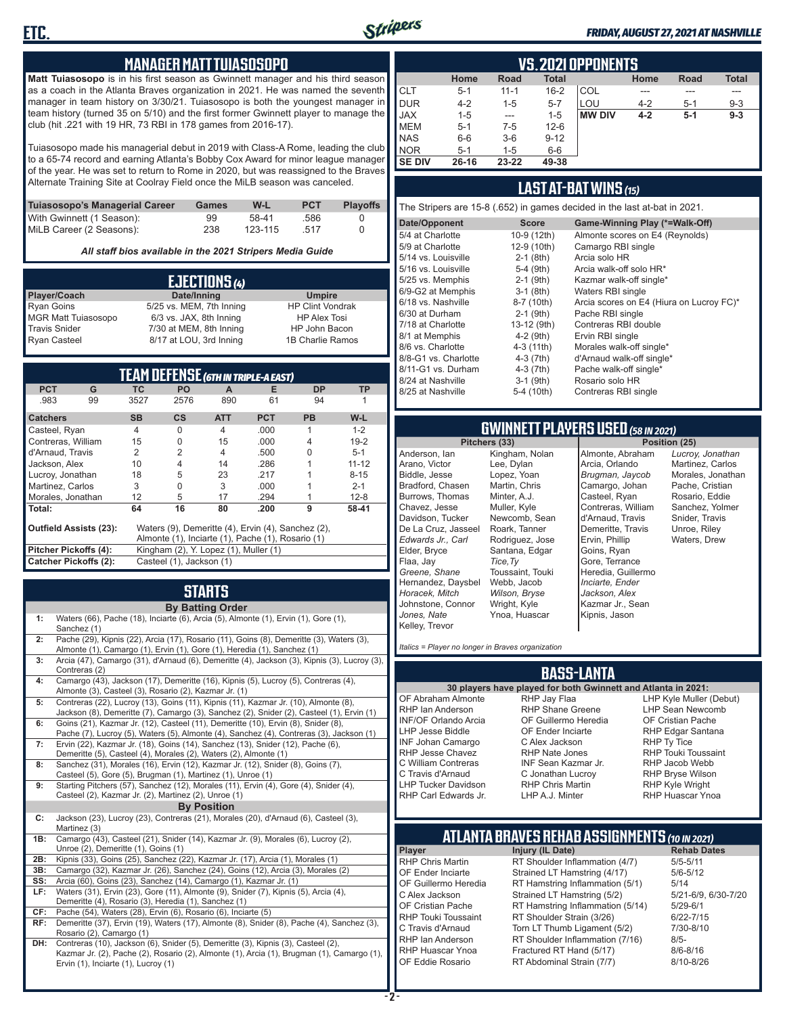

#### *FRIDAY, AUGUST 27, 2021 AT NASHVILLE*

### **MANAGER MATT TUIASOSOPO**

**Matt Tuiasosopo** is in his first season as Gwinnett manager and his third season as a coach in the Atlanta Braves organization in 2021. He was named the seventh manager in team history on 3/30/21. Tuiasosopo is both the youngest manager in team history (turned 35 on 5/10) and the first former Gwinnett player to manage the club (hit .221 with 19 HR, 73 RBI in 178 games from 2016-17).

Tuiasosopo made his managerial debut in 2019 with Class-A Rome, leading the club to a 65-74 record and earning Atlanta's Bobby Cox Award for minor league manager of the year. He was set to return to Rome in 2020, but was reassigned to the Braves Alternate Training Site at Coolray Field once the MiLB season was canceled.

| Tuiasosopo's Managerial Career | Games | W-L     | <b>PCT</b> | <b>Plavoffs</b> |
|--------------------------------|-------|---------|------------|-----------------|
| With Gwinnett (1 Season):      | 99    | 58-41   | .586       |                 |
| MiLB Career (2 Seasons):       | 238   | 123-115 | .517       |                 |

*All staff bios available in the 2021 Stripers Media Guide*

| EJECTIONS (4)              |                          |                         |  |  |  |
|----------------------------|--------------------------|-------------------------|--|--|--|
| Player/Coach               | Date/Inning              | <b>Umpire</b>           |  |  |  |
| <b>Ryan Goins</b>          | 5/25 vs. MEM, 7th Inning | <b>HP Clint Vondrak</b> |  |  |  |
| <b>MGR Matt Tuiasosopo</b> | 6/3 vs. JAX, 8th Inning  | <b>HP Alex Tosi</b>     |  |  |  |
| <b>Travis Snider</b>       | 7/30 at MEM, 8th Inning  | HP John Bacon           |  |  |  |
| <b>Ryan Casteel</b>        | 8/17 at LOU, 3rd Inning  | 1B Charlie Ramos        |  |  |  |

| <b>TEAM DEFENSE (GTH IN TRIPLE-A EAST)</b>                                          |    |                                                   |                                       |                |            |           |           |  |
|-------------------------------------------------------------------------------------|----|---------------------------------------------------|---------------------------------------|----------------|------------|-----------|-----------|--|
| <b>PCT</b>                                                                          | G  | TC                                                | <b>PO</b>                             | A              | Е          | <b>DP</b> | <b>TP</b> |  |
| .983                                                                                | 99 | 3527                                              | 2576                                  | 890            | 61         | 94        |           |  |
| <b>Catchers</b>                                                                     |    | <b>SB</b>                                         | $\mathsf{cs}$                         | <b>ATT</b>     | <b>PCT</b> | <b>PB</b> | W-L       |  |
| Casteel, Ryan                                                                       |    | $\overline{4}$                                    | $\Omega$                              | $\overline{4}$ | .000       | 1         | $1 - 2$   |  |
| Contreras, William                                                                  |    | 15                                                | 0                                     | 15             | .000       | 4         | $19-2$    |  |
| d'Arnaud, Travis                                                                    |    | 2                                                 | 2                                     | $\overline{4}$ | .500       | U         | $5 - 1$   |  |
| Jackson, Alex                                                                       |    | $11 - 12$<br>10<br>14<br>.286<br>4                |                                       |                |            |           |           |  |
| Lucroy, Jonathan                                                                    |    | 18                                                | 5<br>23<br>.217<br>$8 - 15$           |                |            |           |           |  |
| Martinez, Carlos                                                                    |    | 3                                                 | $\Omega$                              | 3              | .000       |           | $2 - 1$   |  |
| Morales, Jonathan                                                                   |    | 12                                                | 5                                     | 17             | .294       |           | $12 - 8$  |  |
| Total:                                                                              |    | 64                                                | 16                                    | 80             | .200       | 9         | 58-41     |  |
| Waters (9), Demeritte (4), Ervin (4), Sanchez (2),<br><b>Outfield Assists (23):</b> |    |                                                   |                                       |                |            |           |           |  |
|                                                                                     |    | Almonte (1), Inciarte (1), Pache (1), Rosario (1) |                                       |                |            |           |           |  |
| Pitcher Pickoffs (4):                                                               |    |                                                   | Kingham (2), Y. Lopez (1), Muller (1) |                |            |           |           |  |
| <b>Catcher Pickoffs (2):</b>                                                        |    | Casteel (1), Jackson (1)                          |                                       |                |            |           |           |  |

# **STARTS**

|     | <b>By Batting Order</b>                                                                                                                                                                                              |
|-----|----------------------------------------------------------------------------------------------------------------------------------------------------------------------------------------------------------------------|
| 1:  | Waters (66), Pache (18), Inciarte (6), Arcia (5), Almonte (1), Ervin (1), Gore (1),<br>Sanchez (1)                                                                                                                   |
| 2:  | Pache (29), Kipnis (22), Arcia (17), Rosario (11), Goins (8), Demeritte (3), Waters (3),<br>Almonte (1), Camargo (1), Ervin (1), Gore (1), Heredia (1), Sanchez (1)                                                  |
| 3:  | Arcia (47), Camargo (31), d'Arnaud (6), Demeritte (4), Jackson (3), Kipnis (3), Lucroy (3),<br>Contreras (2)                                                                                                         |
| 4:  | Camargo (43), Jackson (17), Demeritte (16), Kipnis (5), Lucroy (5), Contreras (4),<br>Almonte (3), Casteel (3), Rosario (2), Kazmar Jr. (1)                                                                          |
| 5:  | Contreras (22), Lucroy (13), Goins (11), Kipnis (11), Kazmar Jr. (10), Almonte (8),<br>Jackson (8), Demeritte (7), Camargo (3), Sanchez (2), Snider (2), Casteel (1), Ervin (1)                                      |
| 6:  | Goins (21), Kazmar Jr. (12), Casteel (11), Demeritte (10), Ervin (8), Snider (8),<br>Pache (7), Lucroy (5), Waters (5), Almonte (4), Sanchez (4), Contreras (3), Jackson (1)                                         |
| 7:  | Ervin (22), Kazmar Jr. (18), Goins (14), Sanchez (13), Snider (12), Pache (6),<br>Demeritte (5), Casteel (4), Morales (2), Waters (2), Almonte (1)                                                                   |
| 8:  | Sanchez (31), Morales (16), Ervin (12), Kazmar Jr. (12), Snider (8), Goins (7),<br>Casteel (5), Gore (5), Brugman (1), Martinez (1), Unroe (1)                                                                       |
| 9:  | Starting Pitchers (57), Sanchez (12), Morales (11), Ervin (4), Gore (4), Snider (4),<br>Casteel (2), Kazmar Jr. (2), Martinez (2), Unroe (1)                                                                         |
|     | <b>By Position</b>                                                                                                                                                                                                   |
| C:  | Jackson (23), Lucroy (23), Contreras (21), Morales (20), d'Arnaud (6), Casteel (3),<br>Martinez (3)                                                                                                                  |
| 1B: | Camargo (43), Casteel (21), Snider (14), Kazmar Jr. (9), Morales (6), Lucroy (2),<br>Unroe (2), Demeritte (1), Goins (1)                                                                                             |
| 2B: | Kipnis (33), Goins (25), Sanchez (22), Kazmar Jr. (17), Arcia (1), Morales (1)                                                                                                                                       |
| 3B: | Camargo (32), Kazmar Jr. (26), Sanchez (24), Goins (12), Arcia (3), Morales (2)                                                                                                                                      |
| SS: | Arcia (60), Goins (23), Sanchez (14), Camargo (1), Kazmar Jr. (1)                                                                                                                                                    |
| LF: | Waters (31), Ervin (23), Gore (11), Almonte (9), Snider (7), Kipnis (5), Arcia (4),<br>Demeritte (4), Rosario (3), Heredia (1), Sanchez (1)                                                                          |
| CF: | Pache (54), Waters (28), Ervin (6), Rosario (6), Inciarte (5)                                                                                                                                                        |
| RF: | Demeritte (37), Ervin (19), Waters (17), Almonte (8), Snider (8), Pache (4), Sanchez (3),<br>Rosario (2), Camargo (1)                                                                                                |
| DH: | Contreras (10), Jackson (6), Snider (5), Demeritte (3), Kipnis (3), Casteel (2),<br>Kazmar Jr. (2), Pache (2), Rosario (2), Almonte (1), Arcia (1), Brugman (1), Camargo (1),<br>Ervin (1), Inciarte (1), Lucroy (1) |

|               | <b>VS.2021 OPPONENTS</b> |             |              |               |         |       |              |  |  |  |  |  |  |  |
|---------------|--------------------------|-------------|--------------|---------------|---------|-------|--------------|--|--|--|--|--|--|--|
|               | Home                     | <b>Road</b> | <b>Total</b> |               | Home    | Road  | <b>Total</b> |  |  |  |  |  |  |  |
| <b>CLT</b>    | $5 - 1$                  | $11 - 1$    | $16 - 2$     | COL           |         |       |              |  |  |  |  |  |  |  |
| <b>DUR</b>    | $4 - 2$                  | $1 - 5$     | $5 - 7$      | LOU           | $4 - 2$ | $5-1$ | $9 - 3$      |  |  |  |  |  |  |  |
| <b>JAX</b>    | $1 - 5$                  | $- - -$     | $1 - 5$      | <b>MW DIV</b> | $4 - 2$ | $5-1$ | $9 - 3$      |  |  |  |  |  |  |  |
| <b>MEM</b>    | $5 - 1$                  | $7-5$       | $12-6$       |               |         |       |              |  |  |  |  |  |  |  |
| <b>NAS</b>    | $6-6$                    | $3-6$       | $9 - 12$     |               |         |       |              |  |  |  |  |  |  |  |
| <b>NOR</b>    | $5-1$                    | $1 - 5$     | $6-6$        |               |         |       |              |  |  |  |  |  |  |  |
| <b>SE DIV</b> | 26-16                    | 23-22       | 49-38        |               |         |       |              |  |  |  |  |  |  |  |

### **LAST AT-BAT WINS** *(15)*

The Stripers are 15-8 (.652) in games decided in the last at-bat in 2021.

| Date/Opponent        | <b>Score</b> | Game-Winning Play (*=Walk-Off)           |
|----------------------|--------------|------------------------------------------|
| 5/4 at Charlotte     | 10-9 (12th)  | Almonte scores on E4 (Reynolds)          |
| 5/9 at Charlotte     | 12-9 (10th)  | Camargo RBI single                       |
| 5/14 vs. Louisville  | $2-1$ (8th)  | Arcia solo HR                            |
| 5/16 vs. Louisville  | 5-4 (9th)    | Arcia walk-off solo HR*                  |
| 5/25 vs. Memphis     | $2-1$ (9th)  | Kazmar walk-off single*                  |
| 6/9-G2 at Memphis    | $3-1$ (8th)  | Waters RBI single                        |
| 6/18 vs. Nashville   | 8-7 (10th)   | Arcia scores on E4 (Hiura on Lucroy FC)* |
| 6/30 at Durham       | $2-1$ (9th)  | Pache RBI single                         |
| 7/18 at Charlotte    | 13-12 (9th)  | Contreras RBI double                     |
| 8/1 at Memphis       | $4-2$ (9th)  | Ervin RBI single                         |
| 8/6 vs. Charlotte    | $4-3(11th)$  | Morales walk-off single*                 |
| 8/8-G1 vs. Charlotte | $4-3$ (7th)  | d'Arnaud walk-off single*                |
| 8/11-G1 vs. Durham   | $4-3(7th)$   | Pache walk-off single*                   |
| 8/24 at Nashville    | $3-1$ (9th)  | Rosario solo HR                          |
| 8/25 at Nashville    | 5-4 (10th)   | Contreras RBI single                     |
|                      |              |                                          |

# **GWINNETT PLAYERS USED** *(58 IN 2021)*

**Pitchers (33)** Anderson, Ian Arano, Victor Biddle, Jesse Bradford, Chasen Burrows, Thomas Chavez, Jesse Davidson, Tucker De La Cruz, Jasseel *Edwards Jr., Carl* Elder, Bryce Flaa, Jay *Greene, Shane*  Hernandez, Daysbel *Horacek, Mitch* Johnstone, Connor *Jones, Nate* Kelley, Trevor Kingham, Nolan Lee, Dylan Lopez, Yoan Martin, Chris Minter, A.J. Muller, Kyle Newcomb, Sean Roark, Tanner Rodriguez, Jose Santana, Edgar *Tice,Ty* Toussaint, Touki Webb, Jacob *Wilson, Bryse* Wright, Kyle Ynoa, Huascar

Almonte, Abraham Arcia, Orlando *Brugman, Jaycob* Camargo, Johan Casteel, Ryan Contreras, William d'Arnaud, Travis Demeritte, Travis Ervin, Phillip Goins, Ryan Gore, Terrance Heredia, Guillermo *Inciarte, Ender Jackson, Alex* Kazmar Jr., Sean Kipnis, Jason

*Lucroy, Jonathan* Martinez, Carlos Morales, Jonathan Pache, Cristian Rosario, Eddie Sanchez, Yolmer Snider, Travis Unroe, Riley Waters, Drew

*Italics = Player no longer in Braves organization*

#### **BASS-LANTA**

OF Abraham Almonte RHP Ian Anderson INF/OF Orlando Arcia LHP Jesse Biddle INF Johan Camargo RHP Jesse Chavez C William Contreras C Travis d'Arnaud LHP Tucker Davidson RHP Carl Edwards Jr.

RHP Jay Flaa RHP Shane Greene OF Guillermo Heredia OF Ender Inciarte C Alex Jackson RHP Nate Jones INF Sean Kazmar Jr. C Jonathan Lucroy RHP Chris Martin LHP A.J. Minter

**30 players have played for both Gwinnett and Atlanta in 2021:** LHP Kyle Muller (Debut) LHP Sean Newcomb OF Cristian Pache RHP Edgar Santana RHP Ty Tice RHP Touki Toussaint RHP Jacob Webb RHP Bryse Wilson RHP Kyle Wright RHP Huascar Ynoa

# **ATLANTA BRAVES REHAB ASSIGNMENTS** *(10 IN 2021)*

**Player Injury (IL Date)** 

RHP Chris Martin RT Shoulder Inflammation (4/7) 5/5-5/11<br>OF Ender Inciarte Strained LT Hamstring (4/17) 5/6-5/12 OF Ender Inciarte Strained LT Hamstring (4/17)<br>OF Guillermo Heredia RT Hamstring Inflammation (5) RT Hamstring Inflammation (5/1) 5/14 C Alex Jackson Strained LT Hamstring (5/2) 5/21-6/9, 6/30-7/20 OF Cristian Pache RT Hamstring Inflammation (5/14) 5/29-6/1<br>RHP Touki Toussaint RT Shoulder Strain (3/26) 6/22-7/15 RHP Touki Toussaint RT Shoulder Strain (3/26) 6/22-7/15<br>C. Travis d'Arnaud C. Torn LT Thumb Ligament (5/2) 6/10-8/10 Torn LT Thumb Ligament (5/2) RHP Ian Anderson RT Shoulder Inflammation (7/16) 8/5-<br>RHP Huascar Ynoa Fractured RT Hand (5/17) 8/6-8/16 RHP Huascar Ynoa Fractured RT Hand (5/17) 8/6-8/16 RT Abdominal Strain (7/7)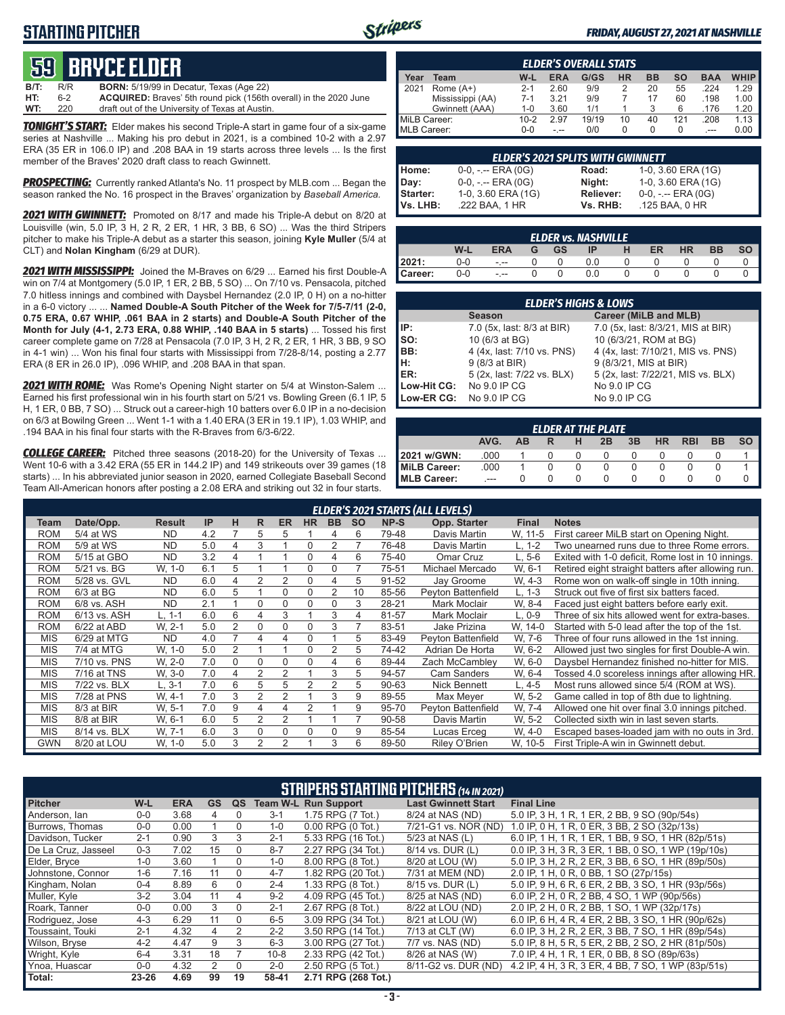### **STARTING PITCHER**



#### *FRIDAY, AUGUST 27, 2021 AT NASHVILLE*

# **59****bryce elder**

**B/T:** R/R **BORN:** 5/19/99 in Decatur, Texas (Age 22) **ACQUIRED:** Braves' 5th round pick (156th overall) in the 2020 June **WT:** 220 draft out of the University of Texas at Austin.

*TONIGHT'S START:* Elder makes his second Triple-A start in game four of a six-game series at Nashville ... Making his pro debut in 2021, is a combined 10-2 with a 2.97 ERA (35 ER in 106.0 IP) and .208 BAA in 19 starts across three levels ... Is the first member of the Braves' 2020 draft class to reach Gwinnett.

*PROSPECTING:* Currently ranked Atlanta's No. 11 prospect by MLB.com ... Began the season ranked the No. 16 prospect in the Braves' organization by *Baseball America.*

*2021 WITH GWINNETT:* Promoted on 8/17 and made his Triple-A debut on 8/20 at Louisville (win, 5.0 IP, 3 H, 2 R, 2 ER, 1 HR, 3 BB, 6 SO) ... Was the third Stripers pitcher to make his Triple-A debut as a starter this season, joining **Kyle Muller** (5/4 at CLT) and **Nolan Kingham** (6/29 at DUR).

*2021 WITH MISSISSIPPI:* Joined the M-Braves on 6/29 ... Earned his first Double-A win on 7/4 at Montgomery (5.0 IP, 1 ER, 2 BB, 5 SO) ... On 7/10 vs. Pensacola, pitched 7.0 hitless innings and combined with Daysbel Hernandez (2.0 IP, 0 H) on a no-hitter in a 6-0 victory ... ... **Named Double-A South Pitcher of the Week for 7/5-7/11 (2-0, 0.75 ERA, 0.67 WHIP, .061 BAA in 2 starts) and Double-A South Pitcher of the Month for July (4-1, 2.73 ERA, 0.88 WHIP, .140 BAA in 5 starts)** ... Tossed his first career complete game on 7/28 at Pensacola (7.0 IP, 3 H, 2 R, 2 ER, 1 HR, 3 BB, 9 SO in 4-1 win) ... Won his final four starts with Mississippi from 7/28-8/14, posting a 2.77 ERA (8 ER in 26.0 IP), .096 WHIP, and .208 BAA in that span.

*2021 WITH ROME:* Was Rome's Opening Night starter on 5/4 at Winston-Salem ... Earned his first professional win in his fourth start on 5/21 vs. Bowling Green (6.1 IP, 5 H, 1 ER, 0 BB, 7 SO) ... Struck out a career-high 10 batters over 6.0 IP in a no-decision on 6/3 at Bowilng Green ... Went 1-1 with a 1.40 ERA (3 ER in 19.1 IP), 1.03 WHIP, and .194 BAA in his final four starts with the R-Braves from 6/3-6/22.

*COLLEGE CAREER:* Pitched three seasons (2018-20) for the University of Texas ... Went 10-6 with a 3.42 ERA (55 ER in 144.2 IP) and 149 strikeouts over 39 games (18 starts) ... In his abbreviated junior season in 2020, earned Collegiate Baseball Second Team All-American honors after posting a 2.08 ERA and striking out 32 in four starts.

|                                                                                                               | <b>ELDER'S OVERALL STATS</b> |         |       |       |    |    |     |      |      |  |  |  |  |  |
|---------------------------------------------------------------------------------------------------------------|------------------------------|---------|-------|-------|----|----|-----|------|------|--|--|--|--|--|
| <b>WHIP</b><br>G/GS<br><b>HR</b><br><b>BB</b><br><b>SO</b><br>W-L<br><b>BAA</b><br><b>ERA</b><br>Year<br>Team |                              |         |       |       |    |    |     |      |      |  |  |  |  |  |
| 2021                                                                                                          | Rome $(A+)$                  | $2 - 1$ | 2.60  | 9/9   |    | 20 | 55  | .224 | 1.29 |  |  |  |  |  |
|                                                                                                               | Mississippi (AA)             | $7-1$   | 3 2 1 | 9/9   |    | 17 | 60  | .198 | 1.00 |  |  |  |  |  |
|                                                                                                               | Gwinnett (AAA)               | $1 - 0$ | 3.60  | 1/1   |    | 3  | 6   | .176 | 1.20 |  |  |  |  |  |
| MiLB Career:                                                                                                  |                              | $10-2$  | 2.97  | 19/19 | 10 | 40 | 121 | .208 | 1.13 |  |  |  |  |  |
| <b>MLB Career:</b>                                                                                            |                              | $0 - 0$ |       | 0/0   |    | 0  | O   | ---  | 0.00 |  |  |  |  |  |

|          | <b>ELDER'S 2021 SPLITS WITH GWINNETT</b> |           |                       |
|----------|------------------------------------------|-----------|-----------------------|
| Home:    | $0-0, - -$ ERA $(0G)$                    | Road:     | 1-0, 3.60 ERA (1G)    |
| Day:     | $0-0, - -$ ERA $(0G)$                    | Night:    | 1-0, 3.60 ERA (1G)    |
| Starter: | 1-0, 3.60 ERA (1G)                       | Reliever: | $0-0, - -$ ERA $(0G)$ |
| Vs. LHB: | .222 BAA, 1 HR                           | Vs. RHB:  | .125 BAA, 0 HR        |

|         | <b>ELDER vs. NASHVILLE</b>                                   |      |  |  |     |  |  |  |  |  |  |  |  |  |  |
|---------|--------------------------------------------------------------|------|--|--|-----|--|--|--|--|--|--|--|--|--|--|
|         | W-L<br><b>ERA</b><br>GS<br>HR<br>ER<br><b>BB</b><br>SΟ<br>ID |      |  |  |     |  |  |  |  |  |  |  |  |  |  |
| 2021:   | 0-0                                                          | - -- |  |  |     |  |  |  |  |  |  |  |  |  |  |
| Career: | 0-0                                                          | $-1$ |  |  | 0.0 |  |  |  |  |  |  |  |  |  |  |

|                                        | <b>ELDER'S HIGHS &amp; LOWS</b> |                                    |  |  |  |  |  |  |  |  |  |  |
|----------------------------------------|---------------------------------|------------------------------------|--|--|--|--|--|--|--|--|--|--|
| Career (MiLB and MLB)<br><b>Season</b> |                                 |                                    |  |  |  |  |  |  |  |  |  |  |
| IP:                                    | 7.0 (5x, last: 8/3 at BIR)      | 7.0 (5x, last: 8/3/21, MIS at BIR) |  |  |  |  |  |  |  |  |  |  |
| $\vert$ so:                            | 10 (6/3 at BG)                  | 10 (6/3/21, ROM at BG)             |  |  |  |  |  |  |  |  |  |  |
| BB:                                    | 4 (4x, last: 7/10 vs. PNS)      | 4 (4x, last: 7/10/21, MIS vs. PNS) |  |  |  |  |  |  |  |  |  |  |
| H:<br>ER:                              | 9 (8/3 at BIR)                  | 9 (8/3/21, MIS at BIR)             |  |  |  |  |  |  |  |  |  |  |
|                                        | 5 (2x, last: 7/22 vs. BLX)      | 5 (2x, last: 7/22/21, MIS vs. BLX) |  |  |  |  |  |  |  |  |  |  |
| Low-Hit CG:                            | No 9.0 IP CG                    | No 9.0 IP CG                       |  |  |  |  |  |  |  |  |  |  |
| Low-ER CG:                             | No 9.0 IP CG                    | No 9.0 IP CG                       |  |  |  |  |  |  |  |  |  |  |

|                                                                                  | <b>ELDER AT THE PLATE.</b> |  |  |  |  |  |  |  |  |  |  |  |  |  |  |
|----------------------------------------------------------------------------------|----------------------------|--|--|--|--|--|--|--|--|--|--|--|--|--|--|
| AVG.<br>3B<br><b>BB</b><br><b>HR</b><br><b>RBI</b><br><b>SO</b><br>ΔR<br>н<br>2B |                            |  |  |  |  |  |  |  |  |  |  |  |  |  |  |
| 2021 w/GWN:                                                                      | .000                       |  |  |  |  |  |  |  |  |  |  |  |  |  |  |
| MiLB Career:                                                                     | .000                       |  |  |  |  |  |  |  |  |  |  |  |  |  |  |
| <b>IMLB Career:</b>                                                              | ---                        |  |  |  |  |  |  |  |  |  |  |  |  |  |  |

|            | <b>ELDER'S 2021 STARTS (ALL LEVELS)</b> |               |     |                |   |                |                |           |           |       |                           |              |                                                    |  |
|------------|-----------------------------------------|---------------|-----|----------------|---|----------------|----------------|-----------|-----------|-------|---------------------------|--------------|----------------------------------------------------|--|
| Team       | Date/Opp.                               | <b>Result</b> | IP  | н              | R | <b>ER</b>      | <b>HR</b>      | <b>BB</b> | <b>SO</b> | NP-S  | Opp. Starter              | <b>Final</b> | <b>Notes</b>                                       |  |
| <b>ROM</b> | 5/4 at WS                               | <b>ND</b>     | 4.2 |                | 5 | 5              |                | 4         | 6         | 79-48 | Davis Martin              | W. 11-5      | First career MiLB start on Opening Night.          |  |
| <b>ROM</b> | 5/9 at WS                               | <b>ND</b>     | 5.0 | 4              | 3 |                |                |           |           | 76-48 | Davis Martin              | L. 1-2       | Two unearned runs due to three Rome errors.        |  |
| <b>ROM</b> | 5/15 at GBO                             | <b>ND</b>     | 3.2 | 4              |   |                |                | 4         | 6         | 75-40 | Omar Cruz                 | L. 5-6       | Exited with 1-0 deficit, Rome lost in 10 innings.  |  |
| <b>ROM</b> | 5/21 vs. BG                             | W, 1-0        | 6.1 | 5              |   |                | $\Omega$       | O         |           | 75-51 | Michael Mercado           | W, 6-1       | Retired eight straight batters after allowing run. |  |
| <b>ROM</b> | 5/28 vs. GVL                            | <b>ND</b>     | 6.0 | 4              |   |                |                | 4         | 5         | 91-52 | Jay Groome                | W, 4-3       | Rome won on walk-off single in 10th inning.        |  |
| <b>ROM</b> | $6/3$ at BG                             | <b>ND</b>     | 6.0 | 5              |   | 0              | $\Omega$       | 2         | 10        | 85-56 | Pevton Battenfield        | L. 1-3       | Struck out five of first six batters faced.        |  |
| <b>ROM</b> | 6/8 vs. ASH                             | <b>ND</b>     | 2.1 |                | 0 | $\Omega$       | $\Omega$       | $\Omega$  | 3         | 28-21 | Mark Moclair              | W. 8-4       | Faced just eight batters before early exit.        |  |
| <b>ROM</b> | 6/13 vs. ASH                            | L. 1-1        | 6.0 | 6              | 4 | 3              |                | 3         | 4         | 81-57 | Mark Moclair              | L. 0-9       | Three of six hits allowed went for extra-bases.    |  |
| <b>ROM</b> | 6/22 at ABD                             | W. 2-1        | 5.0 | 2              | 0 | 0              | $\Omega$       | 3         |           | 83-51 | Jake Prizina              | W. 14-0      | Started with 5-0 lead after the top of the 1st.    |  |
| <b>MIS</b> | 6/29 at MTG                             | <b>ND</b>     | 4.0 |                | 4 | 4              | $\Omega$       |           | 5         | 83-49 | Peyton Battenfield        | W. 7-6       | Three of four runs allowed in the 1st inning.      |  |
| <b>MIS</b> | 7/4 at MTG                              | W, 1-0        | 5.0 | $\overline{2}$ |   |                | $\Omega$       | 2         | 5         | 74-42 | Adrian De Horta           | W. 6-2       | Allowed just two singles for first Double-A win.   |  |
| <b>MIS</b> | 7/10 vs. PNS                            | W. 2-0        | 7.0 | $\Omega$       | 0 | $\Omega$       | $\Omega$       | 4         | 6         | 89-44 | Zach McCamblev            | W, 6-0       | Daysbel Hernandez finished no-hitter for MIS.      |  |
| <b>MIS</b> | 7/16 at TNS                             | W, 3-0        | 7.0 | 4              | 2 |                |                | 3         | 5         | 94-57 | <b>Cam Sanders</b>        | W. 6-4       | Tossed 4.0 scoreless innings after allowing HR.    |  |
| <b>MIS</b> | 7/22 vs. BLX                            | L, 3-1        | 7.0 | 6              | 5 | 5              | $\mathfrak{p}$ | 2         | 5         | 90-63 | Nick Bennett              | L, 4-5       | Most runs allowed since 5/4 (ROM at WS).           |  |
| <b>MIS</b> | 7/28 at PNS                             | W. 4-1        | 7.0 | 3              | 2 | 2              |                | 3         | 9         | 89-55 | Max Mever                 | W. 5-2       | Game called in top of 8th due to lightning.        |  |
| <b>MIS</b> | 8/3 at BIR                              | W. 5-1        | 7.0 | 9              | 4 | 4              | 2              |           | 9         | 95-70 | <b>Pevton Battenfield</b> | W. 7-4       | Allowed one hit over final 3.0 innings pitched.    |  |
| <b>MIS</b> | 8/8 at BIR                              | W, 6-1        | 6.0 | 5              | 2 |                |                |           |           | 90-58 | Davis Martin              | W. 5-2       | Collected sixth win in last seven starts.          |  |
| <b>MIS</b> | 8/14 vs. BLX                            | W. 7-1        | 6.0 | 3              | 0 | $\cap$         | $\Omega$       | $\Omega$  | 9         | 85-54 | Lucas Erceg               | W, 4-0       | Escaped bases-loaded jam with no outs in 3rd.      |  |
| <b>GWN</b> | 8/20 at LOU                             | W, 1-0        | 5.0 | 3              | 2 | $\mathfrak{p}$ |                | 3         | 6         | 89-50 | Rilev O'Brien             | W. 10-5      | First Triple-A win in Gwinnett debut.              |  |

|                     | <b>STRIPERS STARTING PITCHERS (14 IN 2021)</b> |            |           |          |          |                             |                            |                                                    |  |  |  |  |  |
|---------------------|------------------------------------------------|------------|-----------|----------|----------|-----------------------------|----------------------------|----------------------------------------------------|--|--|--|--|--|
| <b>Pitcher</b>      | W-L                                            | <b>ERA</b> | <b>GS</b> | QS       |          | <b>Team W-L Run Support</b> | <b>Last Gwinnett Start</b> | <b>Final Line</b>                                  |  |  |  |  |  |
| Anderson, Ian       | $0 - 0$                                        | 3.68       | 4         | $\Omega$ | $3 - 1$  | 1.75 RPG (7 Tot.)           | 8/24 at NAS (ND)           | 5.0 IP, 3 H, 1 R, 1 ER, 2 BB, 9 SO (90p/54s)       |  |  |  |  |  |
| Burrows, Thomas     | $0 - 0$                                        | 0.00       |           | $\Omega$ | $1 - 0$  | 0.00 RPG (0 Tot.)           | 7/21-G1 vs. NOR (ND)       | 1.0 IP, 0 H, 1 R, 0 ER, 3 BB, 2 SO (32p/13s)       |  |  |  |  |  |
| Davidson, Tucker    | $2 - 1$                                        | 0.90       | 3         | 3        | $2 - 1$  | 5.33 RPG (16 Tot.)          | 5/23 at NAS (L)            | 6.0 IP, 1 H, 1 R, 1 ER, 1 BB, 9 SO, 1 HR (82p/51s) |  |  |  |  |  |
| De La Cruz. Jasseel | $0 - 3$                                        | 7.02       | 15        | $\Omega$ | $8 - 7$  | 2.27 RPG (34 Tot.)          | 8/14 vs. DUR (L)           | 0.0 IP, 3 H, 3 R, 3 ER, 1 BB, 0 SO, 1 WP (19p/10s) |  |  |  |  |  |
| Elder, Bryce        | $1 - 0$                                        | 3.60       |           | $\Omega$ | $1 - 0$  | 8.00 RPG (8 Tot.)           | 8/20 at LOU (W)            | 5.0 IP, 3 H, 2 R, 2 ER, 3 BB, 6 SO, 1 HR (89p/50s) |  |  |  |  |  |
| Johnstone, Connor   | $1 - 6$                                        | 7.16       | 11        | 0        | $4 - 7$  | 1.82 RPG (20 Tot.)          | 7/31 at MEM (ND)           | 2.0 IP, 1 H, 0 R, 0 BB, 1 SO (27p/15s)             |  |  |  |  |  |
| Kingham, Nolan      | $0 - 4$                                        | 8.89       | 6         | 0        | $2 - 4$  | 1.33 RPG (8 Tot.)           | 8/15 vs. DUR (L)           | 5.0 IP, 9 H, 6 R, 6 ER, 2 BB, 3 SO, 1 HR (93p/56s) |  |  |  |  |  |
| Muller, Kyle        | $3 - 2$                                        | 3.04       | 11        | 4        | $9 - 2$  | 4.09 RPG (45 Tot.)          | 8/25 at NAS (ND)           | 6.0 IP, 2 H, 0 R, 2 BB, 4 SO, 1 WP (90p/56s)       |  |  |  |  |  |
| Roark, Tanner       | $0 - 0$                                        | 0.00       | 3         | $\Omega$ | $2 - 1$  | 2.67 RPG (8 Tot.)           | 8/22 at LOU (ND)           | 2.0 IP, 2 H, 0 R, 2 BB, 1 SO, 1 WP (32p/17s)       |  |  |  |  |  |
| Rodriguez, Jose     | $4 - 3$                                        | 6.29       | 11        | $\Omega$ | $6-5$    | 3.09 RPG (34 Tot.)          | 8/21 at LOU (W)            | 6.0 IP, 6 H, 4 R, 4 ER, 2 BB, 3 SO, 1 HR (90p/62s) |  |  |  |  |  |
| Toussaint, Touki    | $2 - 1$                                        | 4.32       | 4         |          | $2 - 2$  | 3.50 RPG (14 Tot.)          | 7/13 at CLT (W)            | 6.0 IP, 3 H, 2 R, 2 ER, 3 BB, 7 SO, 1 HR (89p/54s) |  |  |  |  |  |
| Wilson, Bryse       | $4 - 2$                                        | 4.47       | 9         | 3        | $6 - 3$  | 3.00 RPG (27 Tot.)          | 7/7 vs. NAS (ND)           | 5.0 IP, 8 H, 5 R, 5 ER, 2 BB, 2 SO, 2 HR (81p/50s) |  |  |  |  |  |
| Wright, Kyle        | $6 - 4$                                        | 3.31       | 18        |          | $10 - 8$ | 2.33 RPG (42 Tot.)          | 8/26 at NAS (W)            | 7.0 IP, 4 H, 1 R, 1 ER, 0 BB, 8 SO (89p/63s)       |  |  |  |  |  |
| Ynoa, Huascar       | $0 - 0$                                        | 4.32       | 2         | $\Omega$ | $2 - 0$  | 2.50 RPG (5 Tot.)           | 8/11-G2 vs. DUR (ND)       | 4.2 IP, 4 H, 3 R, 3 ER, 4 BB, 7 SO, 1 WP (83p/51s) |  |  |  |  |  |
| Total:              | 23-26                                          | 4.69       | 99        | 19       | 58-41    | 2.71 RPG (268 Tot.)         |                            |                                                    |  |  |  |  |  |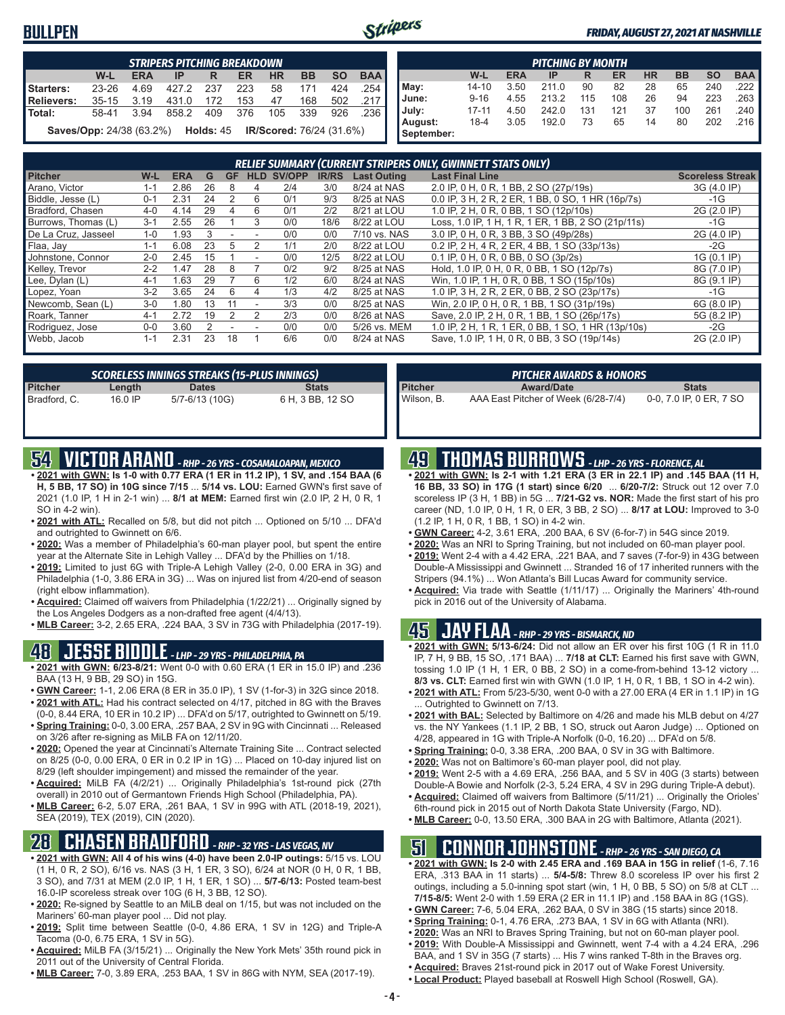### **BULLPEN**



#### *FRIDAY, AUGUST 27, 2021 AT NASHVILLE*

|                                                                                         | STRIPERS PITCHING BREAKDOWN                                                |      |           |     |     |     |     |     |      |  |  |  |  |  |
|-----------------------------------------------------------------------------------------|----------------------------------------------------------------------------|------|-----------|-----|-----|-----|-----|-----|------|--|--|--|--|--|
| <b>BAA</b><br><b>HR</b><br><b>BB</b><br><b>SO</b><br>W-L<br><b>ERA</b><br>ER<br>IP<br>R |                                                                            |      |           |     |     |     |     |     |      |  |  |  |  |  |
| Starters:                                                                               | $23 - 26$                                                                  | 4.69 | 427.2 237 |     | 223 | 58  | 171 | 424 | .254 |  |  |  |  |  |
| Relievers:                                                                              | $35-15$                                                                    | 3.19 | 431.0     | 172 | 153 | 47  | 168 | 502 | .217 |  |  |  |  |  |
| <b>Total:</b>                                                                           | 58-41                                                                      | 3.94 | 858.2     | 409 | 376 | 105 | 339 | 926 | -236 |  |  |  |  |  |
|                                                                                         | <b>Saves/Opp:</b> 24/38 (63.2%)  Holds: 45 <b>IR/Scored:</b> 76/24 (31.6%) |      |           |     |     |     |     |     |      |  |  |  |  |  |

|            | <b>PITCHING BY MONTH</b>                                                                |      |       |     |     |    |     |     |      |  |  |  |  |  |  |
|------------|-----------------------------------------------------------------------------------------|------|-------|-----|-----|----|-----|-----|------|--|--|--|--|--|--|
|            | <b>BAA</b><br><b>SO</b><br><b>HR</b><br><b>BB</b><br>W-L<br><b>ERA</b><br>ER<br>IP<br>R |      |       |     |     |    |     |     |      |  |  |  |  |  |  |
| May:       | 14-10                                                                                   | 3.50 | 211.0 | 90  | 82  | 28 | 65  | 240 | .222 |  |  |  |  |  |  |
| June:      | $9 - 16$                                                                                | 4.55 | 213.2 | 115 | 108 | 26 | 94  | 223 | .263 |  |  |  |  |  |  |
| July:      | $17 - 11$                                                                               | 4.50 | 242.0 | 131 | 121 | 37 | 100 | 261 | .240 |  |  |  |  |  |  |
| August:    | $18 - 4$                                                                                | 3.05 | 192.0 | 73  | 65  | 14 | 80  | 202 | .216 |  |  |  |  |  |  |
| September: |                                                                                         |      |       |     |     |    |     |     |      |  |  |  |  |  |  |

| RELIEF SUMMARY (CURRENT STRIPERS ONLY, GWINNETT STATS ONLY) |         |            |    |           |            |        |              |                    |                                                    |                         |
|-------------------------------------------------------------|---------|------------|----|-----------|------------|--------|--------------|--------------------|----------------------------------------------------|-------------------------|
| <b>Pitcher</b>                                              | W-L     | <b>ERA</b> | G  | <b>GF</b> | <b>HLD</b> | SV/OPP | <b>IR/RS</b> | <b>Last Outing</b> | <b>Last Final Line</b>                             | <b>Scoreless Streak</b> |
| Arano, Victor                                               | 1-1     | 2.86       | 26 | 8         |            | 2/4    | 3/0          | 8/24 at NAS        | 2.0 IP, 0 H, 0 R, 1 BB, 2 SO (27p/19s)             | 3G (4.0 IP)             |
| Biddle, Jesse (L)                                           | $0 - 1$ | 2.31       | 24 |           | 6          | 0/1    | 9/3          | 8/25 at NAS        | 0.0 IP. 3 H. 2 R. 2 ER. 1 BB. 0 SO. 1 HR (16p/7s)  | -1G                     |
| Bradford, Chasen                                            | $4 - 0$ | 4.14       | 29 |           | 6          | 0/1    | 2/2          | 8/21 at LOU        | 1.0 IP, 2 H, 0 R, 0 BB, 1 SO (12p/10s)             | 2G (2.0 IP)             |
| Burrows. Thomas (L)                                         | $3 - 1$ | 2.55       | 26 |           | 3          | 0/0    | 18/6         | 8/22 at LOU        | Loss, 1.0 IP, 1 H, 1 R, 1 ER, 1 BB, 2 SO (21p/11s) | -1G                     |
| De La Cruz. Jasseel                                         | $1 - 0$ | 1.93       | 3  |           | ۰          | 0/0    | 0/0          | 7/10 vs. NAS       | 3.0 IP, 0 H, 0 R, 3 BB, 3 SO (49p/28s)             | 2G (4.0 IP)             |
| Flaa, Jay                                                   | $1 - 1$ | 6.08       | 23 | 5         | 2          | 1/1    | 2/0          | 8/22 at LOU        | 0.2 IP, 2 H, 4 R, 2 ER, 4 BB, 1 SO (33p/13s)       | -2G                     |
| Johnstone, Connor                                           | $2 - 0$ | 2.45       | 15 |           |            | 0/0    | 12/5         | 8/22 at LOU        | 0.1 IP, 0 H, 0 R, 0 BB, 0 SO (3p/2s)               | 1G (0.1 IP)             |
| Kelley, Trevor                                              | $2 - 2$ | 1.47       | 28 | 8         |            | 0/2    | 9/2          | 8/25 at NAS        | Hold, 1.0 IP, 0 H, 0 R, 0 BB, 1 SO (12p/7s)        | 8G (7.0 IP)             |
| Lee, Dylan (L)                                              | $4 - 1$ | 1.63       | 29 |           | 6          | 1/2    | 6/0          | 8/24 at NAS        | Win. 1.0 IP. 1 H. 0 R. 0 BB. 1 SO (15p/10s)        | 8G (9.1 IP)             |
| Lopez, Yoan                                                 | $3-2$   | 3.65       | 24 | 6         | 4          | 1/3    | 4/2          | 8/25 at NAS        | 1.0 IP, 3 H, 2 R, 2 ER, 0 BB, 2 SO (23p/17s)       | $-1G$                   |
| Newcomb, Sean (L)                                           | $3-0$   | 1.80       | 13 | 11        |            | 3/3    | 0/0          | 8/25 at NAS        | Win, 2.0 IP, 0 H, 0 R, 1 BB, 1 SO (31p/19s)        | 6G (8.0 IP)             |
| Roark, Tanner                                               | $4 - 1$ | 2.72       | 19 |           |            | 2/3    | 0/0          | 8/26 at NAS        | Save, 2.0 IP, 2 H, 0 R, 1 BB, 1 SO (26p/17s)       | 5G (8.2 IP)             |
| Rodriguez, Jose                                             | $0 - 0$ | 3.60       |    |           |            | 0/0    | 0/0          | 5/26 vs. MEM       | 1.0 IP, 2 H, 1 R, 1 ER, 0 BB, 1 SO, 1 HR (13p/10s) | -2G                     |
| Webb, Jacob                                                 | $1 - 1$ | 2.31       | 23 | 18        |            | 6/6    | 0/0          | 8/24 at NAS        | Save, 1.0 IP, 1 H, 0 R, 0 BB, 3 SO (19p/14s)       | 2G (2.0 IP)             |

|              |         | <b>SCORELESS INNINGS STREAKS (15-PLUS INNINGS)</b> |                  |
|--------------|---------|----------------------------------------------------|------------------|
| Pitcher      | Length  | <b>Dates</b>                                       | <b>Stats</b>     |
| Bradford, C. | 16.0 IP | 5/7-6/13 (10G)                                     | 6 H, 3 BB, 12 SO |

# **54 VICTOR ARANO** *- RHP - 26 YRS - COSAMALOAPAN, MEXICO*

- **• 2021 with GWN: Is 1-0 with 0.77 ERA (1 ER in 11.2 IP), 1 SV, and .154 BAA (6 H, 5 BB, 17 SO) in 10G since 7/15** ... **5/14 vs. LOU:** Earned GWN's first save of 2021 (1.0 IP, 1 H in 2-1 win) ... **8/1 at MEM:** Earned first win (2.0 IP, 2 H, 0 R, 1 SO in 4-2 win).
- **• 2021 with ATL:** Recalled on 5/8, but did not pitch ... Optioned on 5/10 ... DFA'd and outrighted to Gwinnett on 6/6.
- **• 2020:** Was a member of Philadelphia's 60-man player pool, but spent the entire year at the Alternate Site in Lehigh Valley ... DFA'd by the Phillies on 1/18.
- **• 2019:** Limited to just 6G with Triple-A Lehigh Valley (2-0, 0.00 ERA in 3G) and Philadelphia (1-0, 3.86 ERA in 3G) ... Was on injured list from 4/20-end of season (right elbow inflammation).
- **• Acquired:** Claimed off waivers from Philadelphia (1/22/21) ... Originally signed by the Los Angeles Dodgers as a non-drafted free agent (4/4/13).
- **• MLB Career:** 3-2, 2.65 ERA, .224 BAA, 3 SV in 73G with Philadelphia (2017-19).

### **48 JESSE BIDDLE** *- LHP - 29 YRS - PHILADELPHIA, PA*

- **• 2021 with GWN: 6/23-8/21:** Went 0-0 with 0.60 ERA (1 ER in 15.0 IP) and .236 BAA (13 H, 9 BB, 29 SO) in 15G.
- **• GWN Career:** 1-1, 2.06 ERA (8 ER in 35.0 IP), 1 SV (1-for-3) in 32G since 2018. **• 2021 with ATL:** Had his contract selected on 4/17, pitched in 8G with the Braves
- (0-0, 8.44 ERA, 10 ER in 10.2 IP) ... DFA'd on 5/17, outrighted to Gwinnett on 5/19. **• Spring Training:** 0-0, 3.00 ERA, .257 BAA, 2 SV in 9G with Cincinnati ... Released
- on 3/26 after re-signing as MiLB FA on 12/11/20. **• 2020:** Opened the year at Cincinnati's Alternate Training Site ... Contract selected
- on 8/25 (0-0, 0.00 ERA, 0 ER in 0.2 IP in 1G) ... Placed on 10-day injured list on 8/29 (left shoulder impingement) and missed the remainder of the year.
- **• Acquired:** MiLB FA (4/2/21) ... Originally Philadelphia's 1st-round pick (27th overall) in 2010 out of Germantown Friends High School (Philadelphia, PA).
- **• MLB Career:** 6-2, 5.07 ERA, .261 BAA, 1 SV in 99G with ATL (2018-19, 2021), SEA (2019), TEX (2019), CIN (2020).

### **28 CHASEN BRADFORD** *- RHP - 32 YRS - LAS VEGAS, NV*

- **• 2021 with GWN: All 4 of his wins (4-0) have been 2.0-IP outings:** 5/15 vs. LOU (1 H, 0 R, 2 SO), 6/16 vs. NAS (3 H, 1 ER, 3 SO), 6/24 at NOR (0 H, 0 R, 1 BB, 3 SO), and 7/31 at MEM (2.0 IP, 1 H, 1 ER, 1 SO) ... **5/7-6/13:** Posted team-best 16.0-IP scoreless streak over 10G (6 H, 3 BB, 12 SO).
- **• 2020:** Re-signed by Seattle to an MiLB deal on 1/15, but was not included on the Mariners' 60-man player pool ... Did not play.
- **• 2019:** Split time between Seattle (0-0, 4.86 ERA, 1 SV in 12G) and Triple-A Tacoma (0-0, 6.75 ERA, 1 SV in 5G).
- **• Acquired:** MiLB FA (3/15/21) ... Originally the New York Mets' 35th round pick in 2011 out of the University of Central Florida.
- **• MLB Career:** 7-0, 3.89 ERA, .253 BAA, 1 SV in 86G with NYM, SEA (2017-19).

|                | <b>PITCHER AWARDS &amp; HONORS</b>  |                         |
|----------------|-------------------------------------|-------------------------|
| <b>Pitcher</b> | <b>Award/Date</b>                   | <b>Stats</b>            |
| Wilson. B.     | AAA East Pitcher of Week (6/28-7/4) | 0-0, 7.0 IP, 0 ER, 7 SO |

### **49 THOMAS BURROWS** *- LHP - 26 YRS - FLORENCE, AL*

- **• 2021 with GWN: Is 2-1 with 1.21 ERA (3 ER in 22.1 IP) and .145 BAA (11 H, 16 BB, 33 SO) in 17G (1 start) since 6/20** ... **6/20-7/2:** Struck out 12 over 7.0 scoreless IP (3 H, 1 BB) in 5G ... **7/21-G2 vs. NOR:** Made the first start of his pro career (ND, 1.0 IP, 0 H, 1 R, 0 ER, 3 BB, 2 SO) ... **8/17 at LOU:** Improved to 3-0 (1.2 IP, 1 H, 0 R, 1 BB, 1 SO) in 4-2 win.
- **• GWN Career:** 4-2, 3.61 ERA, .200 BAA, 6 SV (6-for-7) in 54G since 2019.
- **• 2020:** Was an NRI to Spring Training, but not included on 60-man player pool.
- **• 2019:** Went 2-4 with a 4.42 ERA, .221 BAA, and 7 saves (7-for-9) in 43G between Double-A Mississippi and Gwinnett ... Stranded 16 of 17 inherited runners with the Stripers (94.1%) ... Won Atlanta's Bill Lucas Award for community service.
- **• Acquired:** Via trade with Seattle (1/11/17) ... Originally the Mariners' 4th-round pick in 2016 out of the University of Alabama.

### **45 JAY FLAA** *- RHP - 29 YRS - BISMARCK, ND*

- **• 2021 with GWN: 5/13-6/24:** Did not allow an ER over his first 10G (1 R in 11.0 IP, 7 H, 9 BB, 15 SO, .171 BAA) ... **7/18 at CLT:** Earned his first save with GWN, tossing 1.0 IP (1 H, 1 ER, 0 BB, 2 SO) in a come-from-behind 13-12 victory ... **8/3 vs. CLT:** Earned first win with GWN (1.0 IP, 1 H, 0 R, 1 BB, 1 SO in 4-2 win).
- **• 2021 with ATL:** From 5/23-5/30, went 0-0 with a 27.00 ERA (4 ER in 1.1 IP) in 1G . Outrighted to Gwinnett on 7/13.
- **• 2021 with BAL:** Selected by Baltimore on 4/26 and made his MLB debut on 4/27 vs. the NY Yankees (1.1 IP, 2 BB, 1 SO, struck out Aaron Judge) ... Optioned on 4/28, appeared in 1G with Triple-A Norfolk (0-0, 16.20) ... DFA'd on 5/8.
- **• Spring Training:** 0-0, 3.38 ERA, .200 BAA, 0 SV in 3G with Baltimore.
- **• 2020:** Was not on Baltimore's 60-man player pool, did not play.
- **• 2019:** Went 2-5 with a 4.69 ERA, .256 BAA, and 5 SV in 40G (3 starts) between
- Double-A Bowie and Norfolk (2-3, 5.24 ERA, 4 SV in 29G during Triple-A debut).
- **• Acquired:** Claimed off waivers from Baltimore (5/11/21) ... Originally the Orioles' 6th-round pick in 2015 out of North Dakota State University (Fargo, ND).
- **• MLB Career:** 0-0, 13.50 ERA, .300 BAA in 2G with Baltimore, Atlanta (2021).

### **51 CONNOR JOHNSTONE** *- RHP - 26 YRS - SAN DIEGO, CA*

- **• 2021 with GWN: Is 2-0 with 2.45 ERA and .169 BAA in 15G in relief** (1-6, 7.16 ERA, .313 BAA in 11 starts) ... **5/4-5/8:** Threw 8.0 scoreless IP over his first 2 outings, including a 5.0-inning spot start (win, 1 H, 0 BB, 5 SO) on 5/8 at CLT ... **7/15-8/5:** Went 2-0 with 1.59 ERA (2 ER in 11.1 IP) and .158 BAA in 8G (1GS).
- **• GWN Career:** 7-6, 5.04 ERA, .262 BAA, 0 SV in 38G (15 starts) since 2018.
- **• Spring Training:** 0-1, 4.76 ERA, .273 BAA, 1 SV in 6G with Atlanta (NRI).
- **• 2020:** Was an NRI to Braves Spring Training, but not on 60-man player pool.
- **• 2019:** With Double-A Mississippi and Gwinnett, went 7-4 with a 4.24 ERA, .296 BAA, and 1 SV in 35G (7 starts) ... His 7 wins ranked T-8th in the Braves org.
- **• Acquired:** Braves 21st-round pick in 2017 out of Wake Forest University.
- **• Local Product:** Played baseball at Roswell High School (Roswell, GA).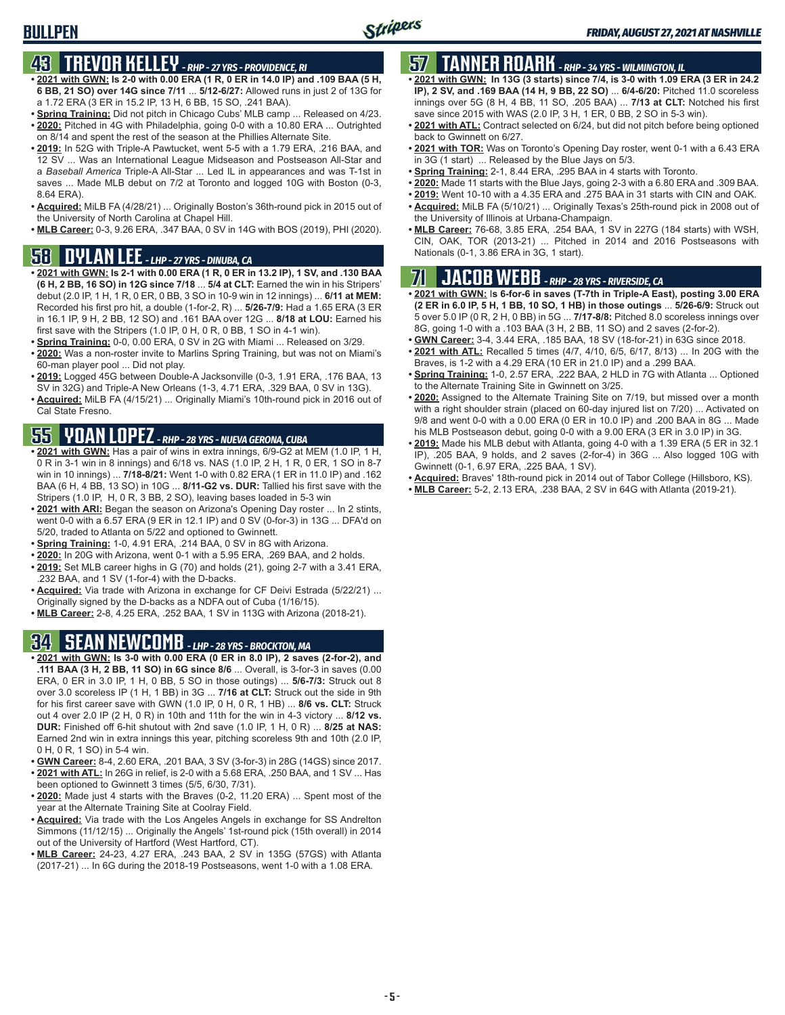# **43 TREVOR KELLEY** *- RHP - 27 YRS - PROVIDENCE, RI*

- **• 2021 with GWN: Is 2-0 with 0.00 ERA (1 R, 0 ER in 14.0 IP) and .109 BAA (5 H, 6 BB, 21 SO) over 14G since 7/11** ... **5/12-6/27:** Allowed runs in just 2 of 13G for a 1.72 ERA (3 ER in 15.2 IP, 13 H, 6 BB, 15 SO, .241 BAA).
- **• Spring Training:** Did not pitch in Chicago Cubs' MLB camp ... Released on 4/23. **• 2020:** Pitched in 4G with Philadelphia, going 0-0 with a 10.80 ERA ... Outrighted on 8/14 and spent the rest of the season at the Phillies Alternate Site.
- **• 2019:** In 52G with Triple-A Pawtucket, went 5-5 with a 1.79 ERA, .216 BAA, and 12 SV ... Was an International League Midseason and Postseason All-Star and a *Baseball America* Triple-A All-Star ... Led IL in appearances and was T-1st in saves ... Made MLB debut on 7/2 at Toronto and logged 10G with Boston (0-3, 8.64 ERA).
- **• Acquired:** MiLB FA (4/28/21) ... Originally Boston's 36th-round pick in 2015 out of the University of North Carolina at Chapel Hill.
- **• MLB Career:** 0-3, 9.26 ERA, .347 BAA, 0 SV in 14G with BOS (2019), PHI (2020).

## **58 DYLAN LEE** *- LHP - 27 YRS - DINUBA, CA*

- **• 2021 with GWN: Is 2-1 with 0.00 ERA (1 R, 0 ER in 13.2 IP), 1 SV, and .130 BAA (6 H, 2 BB, 16 SO) in 12G since 7/18** ... **5/4 at CLT:** Earned the win in his Stripers' debut (2.0 IP, 1 H, 1 R, 0 ER, 0 BB, 3 SO in 10-9 win in 12 innings) ... **6/11 at MEM:** Recorded his first pro hit, a double (1-for-2, R) ... **5/26-7/9:** Had a 1.65 ERA (3 ER in 16.1 IP, 9 H, 2 BB, 12 SO) and .161 BAA over 12G ... **8/18 at LOU:** Earned his first save with the Stripers (1.0 IP, 0 H, 0 R, 0 BB, 1 SO in 4-1 win).
- **• Spring Training:** 0-0, 0.00 ERA, 0 SV in 2G with Miami ... Released on 3/29.
- **• 2020:** Was a non-roster invite to Marlins Spring Training, but was not on Miami's 60-man player pool ... Did not play.
- **• 2019:** Logged 45G between Double-A Jacksonville (0-3, 1.91 ERA, .176 BAA, 13 SV in 32G) and Triple-A New Orleans (1-3, 4.71 ERA, .329 BAA, 0 SV in 13G).
- **• Acquired:** MiLB FA (4/15/21) ... Originally Miami's 10th-round pick in 2016 out of Cal State Fresno.

# **55 YOAN LOPEZ** *- RHP - 28 YRS - NUEVA GERONA, CUBA*

- **• 2021 with GWN:** Has a pair of wins in extra innings, 6/9-G2 at MEM (1.0 IP, 1 H, 0 R in 3-1 win in 8 innings) and 6/18 vs. NAS (1.0 IP, 2 H, 1 R, 0 ER, 1 SO in 8-7 win in 10 innings) ... **7/18-8/21:** Went 1-0 with 0.82 ERA (1 ER in 11.0 IP) and .162 BAA (6 H, 4 BB, 13 SO) in 10G ... **8/11-G2 vs. DUR:** Tallied his first save with the Stripers (1.0 IP, H, 0 R, 3 BB, 2 SO), leaving bases loaded in 5-3 win
- **• 2021 with ARI:** Began the season on Arizona's Opening Day roster ... In 2 stints, went 0-0 with a 6.57 ERA (9 ER in 12.1 IP) and 0 SV (0-for-3) in 13G ... DFA'd on 5/20, traded to Atlanta on 5/22 and optioned to Gwinnett.
- **• Spring Training:** 1-0, 4.91 ERA, .214 BAA, 0 SV in 8G with Arizona.
- **• 2020:** In 20G with Arizona, went 0-1 with a 5.95 ERA, .269 BAA, and 2 holds.
- **• 2019:** Set MLB career highs in G (70) and holds (21), going 2-7 with a 3.41 ERA, .232 BAA, and 1 SV (1-for-4) with the D-backs.
- **• Acquired:** Via trade with Arizona in exchange for CF Deivi Estrada (5/22/21) ... Originally signed by the D-backs as a NDFA out of Cuba (1/16/15).
- **• MLB Career:** 2-8, 4.25 ERA, .252 BAA, 1 SV in 113G with Arizona (2018-21).

# **34 SEAN NEWCOMB** *- LHP - 28 YRS - BROCKTON, MA*

- **• 2021 with GWN: Is 3-0 with 0.00 ERA (0 ER in 8.0 IP), 2 saves (2-for-2), and .111 BAA (3 H, 2 BB, 11 SO) in 6G since 8/6** ... Overall, is 3-for-3 in saves (0.00 ERA, 0 ER in 3.0 IP, 1 H, 0 BB, 5 SO in those outings) ... **5/6-7/3:** Struck out 8 over 3.0 scoreless IP (1 H, 1 BB) in 3G ... **7/16 at CLT:** Struck out the side in 9th for his first career save with GWN (1.0 IP, 0 H, 0 R, 1 HB) ... **8/6 vs. CLT:** Struck out 4 over 2.0 IP (2 H, 0 R) in 10th and 11th for the win in 4-3 victory ... **8/12 vs. DUR:** Finished off 6-hit shutout with 2nd save (1.0 IP, 1 H, 0 R) ... **8/25 at NAS:** Earned 2nd win in extra innings this year, pitching scoreless 9th and 10th (2.0 IP, 0 H, 0 R, 1 SO) in 5-4 win.
- **• GWN Career:** 8-4, 2.60 ERA, .201 BAA, 3 SV (3-for-3) in 28G (14GS) since 2017. **• 2021 with ATL:** In 26G in relief, is 2-0 with a 5.68 ERA, .250 BAA, and 1 SV ... Has
- been optioned to Gwinnett 3 times (5/5, 6/30, 7/31).
- **• 2020:** Made just 4 starts with the Braves (0-2, 11.20 ERA) ... Spent most of the year at the Alternate Training Site at Coolray Field.
- **• Acquired:** Via trade with the Los Angeles Angels in exchange for SS Andrelton Simmons (11/12/15) ... Originally the Angels' 1st-round pick (15th overall) in 2014 out of the University of Hartford (West Hartford, CT).
- **• MLB Career:** 24-23, 4.27 ERA, .243 BAA, 2 SV in 135G (57GS) with Atlanta (2017-21) ... In 6G during the 2018-19 Postseasons, went 1-0 with a 1.08 ERA.

## **57 TANNER ROARK** *- RHP - 34 YRS - WILMINGTON, IL*

- **• 2021 with GWN: In 13G (3 starts) since 7/4, is 3-0 with 1.09 ERA (3 ER in 24.2 IP), 2 SV, and .169 BAA (14 H, 9 BB, 22 SO)** ... **6/4-6/20:** Pitched 11.0 scoreless innings over 5G (8 H, 4 BB, 11 SO, .205 BAA) ... **7/13 at CLT:** Notched his first save since 2015 with WAS (2.0 IP, 3 H, 1 ER, 0 BB, 2 SO in 5-3 win).
- **• 2021 with ATL:** Contract selected on 6/24, but did not pitch before being optioned back to Gwinnett on 6/27.
- **• 2021 with TOR:** Was on Toronto's Opening Day roster, went 0-1 with a 6.43 ERA in 3G (1 start) ... Released by the Blue Jays on 5/3.
- **• Spring Training:** 2-1, 8.44 ERA, .295 BAA in 4 starts with Toronto.
- **• 2020:** Made 11 starts with the Blue Jays, going 2-3 with a 6.80 ERA and .309 BAA.
- **• 2019:** Went 10-10 with a 4.35 ERA and .275 BAA in 31 starts with CIN and OAK.
- **• Acquired:** MiLB FA (5/10/21) ... Originally Texas's 25th-round pick in 2008 out of the University of Illinois at Urbana-Champaign.
- **• MLB Career:** 76-68, 3.85 ERA, .254 BAA, 1 SV in 227G (184 starts) with WSH, CIN, OAK, TOR (2013-21) ... Pitched in 2014 and 2016 Postseasons with Nationals (0-1, 3.86 ERA in 3G, 1 start).

# **71 JACOB WEBB** *- RHP - 28 YRS - RIVERSIDE, CA*

- **• 2021 with GWN:** I**s 6-for-6 in saves (T-7th in Triple-A East), posting 3.00 ERA (2 ER in 6.0 IP, 5 H, 1 BB, 10 SO, 1 HB) in those outings** ... **5/26-6/9:** Struck out 5 over 5.0 IP (0 R, 2 H, 0 BB) in 5G ... **7/17-8/8:** Pitched 8.0 scoreless innings over 8G, going 1-0 with a .103 BAA (3 H, 2 BB, 11 SO) and 2 saves (2-for-2).
- **• GWN Career:** 3-4, 3.44 ERA, .185 BAA, 18 SV (18-for-21) in 63G since 2018.
- **• 2021 with ATL:** Recalled 5 times (4/7, 4/10, 6/5, 6/17, 8/13) ... In 20G with the Braves, is 1-2 with a 4.29 ERA (10 ER in 21.0 IP) and a .299 BAA.
- **• Spring Training:** 1-0, 2.57 ERA, .222 BAA, 2 HLD in 7G with Atlanta ... Optioned to the Alternate Training Site in Gwinnett on 3/25.
- **• 2020:** Assigned to the Alternate Training Site on 7/19, but missed over a month with a right shoulder strain (placed on 60-day injured list on 7/20) ... Activated on 9/8 and went 0-0 with a 0.00 ERA (0 ER in 10.0 IP) and .200 BAA in 8G ... Made his MLB Postseason debut, going 0-0 with a 9.00 ERA (3 ER in 3.0 IP) in 3G.
- **• 2019:** Made his MLB debut with Atlanta, going 4-0 with a 1.39 ERA (5 ER in 32.1 IP), .205 BAA, 9 holds, and 2 saves (2-for-4) in 36G ... Also logged 10G with Gwinnett (0-1, 6.97 ERA, .225 BAA, 1 SV).
- **• Acquired:** Braves' 18th-round pick in 2014 out of Tabor College (Hillsboro, KS).
- **• MLB Career:** 5-2, 2.13 ERA, .238 BAA, 2 SV in 64G with Atlanta (2019-21).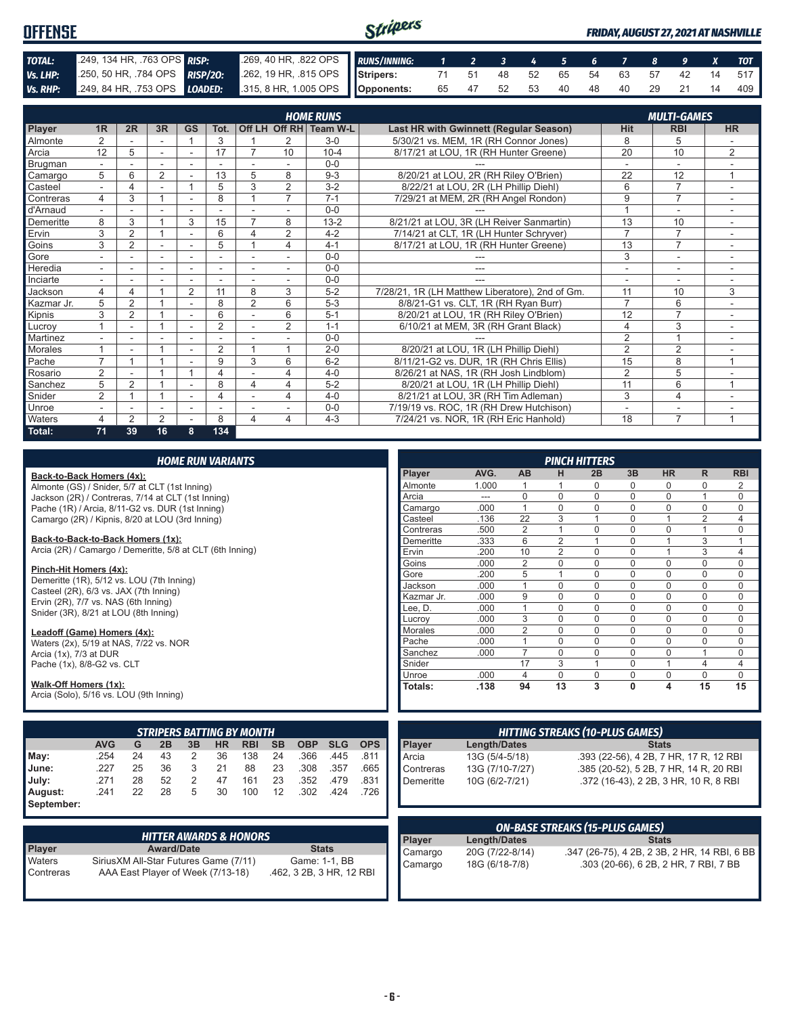| <b>OFFENSE</b> |  |                                                                                                        | Stripers |  |  |  |  |  | <b>FRIDAY, AUGUST 27, 2021 AT NASHVILLE</b> |
|----------------|--|--------------------------------------------------------------------------------------------------------|----------|--|--|--|--|--|---------------------------------------------|
| TOTAL:         |  | 249, 134 HR, 763 OPS RISP: 269, 40 HR, 822 OPS RUNS/INNING: 1 2 3 4 5 6 7 8 9 X TOT                    |          |  |  |  |  |  |                                             |
| Vs. LHP:       |  | 250, 50 HR, 784 OPS RISP/20: 262, 19 HR, 815 OPS Stripers: 71 51 48 52 65 54 63 57 42 14 517           |          |  |  |  |  |  |                                             |
|                |  | Vs. RHP: 249, 84 HR, 753 OPS LOADED: 315, 8 HR, 1.005 OPS Opponents: 65 47 52 53 40 48 40 29 21 14 409 |          |  |  |  |  |  |                                             |

|                | <b>HOME RUNS</b><br><b>MULTI-GAMES</b> |                |                          |           |                |                          |                |                        |                                                 |                |                          |                |
|----------------|----------------------------------------|----------------|--------------------------|-----------|----------------|--------------------------|----------------|------------------------|-------------------------------------------------|----------------|--------------------------|----------------|
| Player         | 1 <sub>R</sub>                         | 2R             | 3R                       | <b>GS</b> | Tot.           |                          |                | Off LH Off RH Team W-L | Last HR with Gwinnett (Regular Season)          | Hit            | <b>RBI</b>               | <b>HR</b>      |
| <b>Almonte</b> | $\overline{2}$                         |                |                          |           | 3              |                          | 2              | $3-0$                  | 5/30/21 vs. MEM, 1R (RH Connor Jones)           | 8              | 5                        |                |
| <b>A</b> rcia  | 12                                     | 5              | $\sim$                   | ٠         | 17             |                          | 10             | $10 - 4$               | 8/17/21 at LOU, 1R (RH Hunter Greene)           | 20             | 10                       | $\overline{2}$ |
| Brugman        |                                        |                |                          |           |                |                          |                | $0 - 0$                |                                                 |                |                          |                |
| Camargo        | 5                                      | 6              | $\overline{2}$           |           | 13             | 5                        | 8              | $9 - 3$                | 8/20/21 at LOU, 2R (RH Riley O'Brien)           | 22             | 12                       | $\overline{ }$ |
| Casteel        | $\overline{\phantom{0}}$               | 4              |                          |           | 5              | 3                        | $\overline{2}$ | $3 - 2$                | 8/22/21 at LOU, 2R (LH Phillip Diehl)           | 6              | $\overline{7}$           |                |
| Contreras      | 4                                      | 3              |                          |           | 8              |                          | $\overline{7}$ | $7 - 1$                | 7/29/21 at MEM, 2R (RH Angel Rondon)            | 9              | $\overline{7}$           |                |
| d'Arnaud       | $\blacksquare$                         |                |                          |           |                |                          |                | $0 - 0$                |                                                 |                | ÷.                       | $\sim$         |
| Demeritte      | 8                                      | 3              |                          | 3         | 15             | 7                        | 8              | $13 - 2$               | 8/21/21 at LOU, 3R (LH Reiver Sanmartin)        | 13             | 10                       |                |
| $E$ rvin       | 3                                      | $\overline{2}$ |                          |           | 6              | 4                        | 2              | $4 - 2$                | 7/14/21 at CLT, 1R (LH Hunter Schryver)         | $\overline{7}$ | $\overline{7}$           |                |
| Goins          | 3                                      | $\overline{2}$ |                          |           | 5              |                          | 4              | $4 - 1$                | 8/17/21 at LOU, 1R (RH Hunter Greene)           | 13             | $\overline{7}$           |                |
| Gore           |                                        |                |                          |           |                |                          |                | $0 - 0$                |                                                 | 3              | $\sim$                   |                |
| Heredia        | $\overline{\phantom{0}}$               | ۰              | $\overline{\phantom{a}}$ | ٠         | ٠              | $\overline{\phantom{a}}$ | $\sim$         | $0 - 0$                | ---                                             | ٠              | $\overline{\phantom{a}}$ | ٠              |
| Inciarte       |                                        |                |                          |           |                |                          |                | $0 - 0$                |                                                 |                |                          |                |
| Jackson        | 4                                      | 4              |                          | 2         | 11             | 8                        | 3              | $5 - 2$                | 7/28/21, 1R (LH Matthew Liberatore), 2nd of Gm. | 11             | 10                       | 3              |
| Kazmar Jr.     | 5                                      | $\overline{2}$ |                          |           | 8              | $\overline{2}$           | 6              | $5 - 3$                | 8/8/21-G1 vs. CLT, 1R (RH Ryan Burr)            | $\overline{7}$ | 6                        |                |
| Kipnis         | 3                                      | $\overline{2}$ |                          |           | 6              |                          | 6              | $5 - 1$                | 8/20/21 at LOU, 1R (RH Riley O'Brien)           | 12             | $\overline{7}$           |                |
| Lucroy         |                                        | ٠              |                          | ٠         | $\overline{2}$ |                          | 2              | $1 - 1$                | 6/10/21 at MEM, 3R (RH Grant Black)             | $\overline{4}$ | 3                        | $\sim$         |
| Martinez       |                                        |                |                          |           |                |                          |                | $0 - 0$                |                                                 | $\overline{2}$ |                          |                |
| Morales        |                                        |                |                          |           | $\overline{2}$ |                          |                | $2 - 0$                | 8/20/21 at LOU, 1R (LH Phillip Diehl)           | $\overline{2}$ | $\overline{2}$           |                |
| Pache          | $\overline{ }$                         |                |                          |           | 9              | 3                        | 6              | $6 - 2$                | 8/11/21-G2 vs. DUR, 1R (RH Chris Ellis)         | 15             | 8                        | 1              |
| Rosario        | $\overline{2}$                         |                |                          |           | 4              |                          | 4              | $4 - 0$                | 8/26/21 at NAS, 1R (RH Josh Lindblom)           | $\overline{2}$ | 5                        |                |
| Sanchez        | 5                                      | $\overline{2}$ |                          | ۰         | 8              | 4                        | 4              | $5 - 2$                | 8/20/21 at LOU, 1R (LH Phillip Diehl)           | 11             | 6                        |                |
| Snider         | $\overline{2}$                         |                |                          | ٠         | 4              |                          | 4              | $4 - 0$                | 8/21/21 at LOU, 3R (RH Tim Adleman)             | 3              | $\overline{4}$           | $\sim$         |
| <b>Unroe</b>   |                                        |                |                          |           |                |                          |                | $0 - 0$                | 7/19/19 vs. ROC, 1R (RH Drew Hutchison)         | ٠              |                          |                |
| <b>Waters</b>  |                                        | $\overline{2}$ | $\overline{2}$           |           | 8              | 4                        | 4              | $4 - 3$                | 7/24/21 vs. NOR, 1R (RH Eric Hanhold)           | 18             | $\overline{7}$           |                |
| Total:         | 71                                     | 39             | 16                       | 8         | 134            |                          |                |                        |                                                 |                |                          |                |

|                                                                                |            |    |    |    | <b>HOME RUN VARIANTS</b> |                                  |           |            |            |                |            |                     |                |                 | <b>PINCH HITTERS</b>                   |              |                                       |                |                          |
|--------------------------------------------------------------------------------|------------|----|----|----|--------------------------|----------------------------------|-----------|------------|------------|----------------|------------|---------------------|----------------|-----------------|----------------------------------------|--------------|---------------------------------------|----------------|--------------------------|
| Back-to-Back Homers (4x):                                                      |            |    |    |    |                          |                                  |           |            |            |                | Player     | AVG.                | <b>AB</b>      | н               | 2B                                     | 3B           | <b>HR</b>                             | R              | <b>RBI</b>               |
| Almonte (GS) / Snider, 5/7 at CLT (1st Inning)                                 |            |    |    |    |                          |                                  |           |            |            |                | Almonte    | 1.000               |                |                 | 0                                      | $\Omega$     | $\Omega$                              | $\Omega$       |                          |
| Jackson (2R) / Contreras, 7/14 at CLT (1st Inning)                             |            |    |    |    |                          |                                  |           |            |            |                | Arcia      | ---                 | $\mathbf 0$    | $\Omega$        | $\mathbf 0$                            | $\Omega$     | $\Omega$                              |                | $\mathbf 0$              |
| Pache (1R) / Arcia, 8/11-G2 vs. DUR (1st Inning)                               |            |    |    |    |                          |                                  |           |            |            |                | Camargo    | .000                | $\overline{1}$ | $\Omega$        | $\Omega$                               | $\Omega$     | $\Omega$                              | $\Omega$       | $\Omega$                 |
| Camargo (2R) / Kipnis, 8/20 at LOU (3rd Inning)                                |            |    |    |    |                          |                                  |           |            |            |                | Casteel    | .136                | 22             | 3               | 1                                      | $\mathbf 0$  |                                       | $\overline{2}$ | $\overline{\mathcal{L}}$ |
|                                                                                |            |    |    |    |                          |                                  |           |            |            |                | Contreras  | .500                | $\overline{2}$ | $\overline{1}$  | $\Omega$                               | $\Omega$     | $\Omega$                              |                | $\Omega$                 |
| Back-to-Back-to-Back Homers (1x):                                              |            |    |    |    |                          |                                  |           |            |            |                | Demeritte  | .333                | 6              | 2               | 1                                      | $\Omega$     |                                       | 3              |                          |
| Arcia (2R) / Camargo / Demeritte, 5/8 at CLT (6th Inning)                      |            |    |    |    |                          |                                  |           |            |            |                | Ervin      | .200                | 10             | $\overline{2}$  | $\Omega$                               | $\Omega$     | $\overline{1}$                        | 3              | $\overline{4}$           |
|                                                                                |            |    |    |    |                          |                                  |           |            |            |                | Goins      | .000                | $\overline{2}$ | $\mathbf 0$     | $\mathbf 0$                            | $\mathbf 0$  | $\Omega$                              | $\Omega$       | $\mathbf 0$              |
| Pinch-Hit Homers (4x):                                                         |            |    |    |    |                          |                                  |           |            |            |                | Gore       | .200                | 5              |                 | $\mathbf 0$                            | $\mathbf 0$  | $\Omega$                              | 0              | $\mathbf 0$              |
| Demeritte (1R), 5/12 vs. LOU (7th Inning)                                      |            |    |    |    |                          |                                  |           |            |            |                | Jackson    | .000                | $\overline{1}$ | $\Omega$        | $\Omega$                               | $\Omega$     | $\Omega$                              | $\Omega$       | $\Omega$                 |
| Casteel (2R), 6/3 vs. JAX (7th Inning)<br>Ervin (2R), 7/7 vs. NAS (6th Inning) |            |    |    |    |                          |                                  |           |            |            |                | Kazmar Jr. | .000                | 9              | $\Omega$        | $\Omega$                               | $\Omega$     | $\Omega$                              | 0              | $\Omega$                 |
| Snider (3R), 8/21 at LOU (8th Inning)                                          |            |    |    |    |                          |                                  |           |            |            |                | Lee. D.    | .000                | $\overline{1}$ | 0               | $\mathbf 0$                            | $\Omega$     | $\Omega$                              | 0              | $\Omega$                 |
|                                                                                |            |    |    |    |                          |                                  |           |            |            |                | Lucrov     | .000                | 3              | $\Omega$        | $\Omega$                               | $\mathbf 0$  | $\Omega$                              | $\Omega$       | $\Omega$                 |
| Leadoff (Game) Homers (4x):                                                    |            |    |    |    |                          |                                  |           | Morales    | .000       | $\overline{2}$ | $\Omega$   | $\Omega$            | $\Omega$       | $\Omega$        | $\Omega$                               | $\Omega$     |                                       |                |                          |
| Waters (2x), 5/19 at NAS, 7/22 vs. NOR                                         |            |    |    |    |                          |                                  |           |            |            |                | Pache      | .000                | $\overline{1}$ | $\Omega$        | $\Omega$                               | $\Omega$     | $\Omega$                              | $\Omega$       | $\Omega$                 |
| Arcia (1x), 7/3 at DUR                                                         |            |    |    |    |                          |                                  |           |            |            |                | Sanchez    | .000                | $\overline{7}$ | $\mathbf 0$     | $\mathbf 0$                            | $\mathbf 0$  | $\Omega$                              |                | 0                        |
| Pache (1x), 8/8-G2 vs. CLT                                                     |            |    |    |    |                          |                                  |           |            |            |                | Snider     |                     | 17             | 3               | $\overline{1}$                         | $\Omega$     |                                       | 4              | $\overline{4}$           |
|                                                                                |            |    |    |    |                          |                                  |           |            |            |                | Unroe      | .000                | $\overline{4}$ | $\mathbf 0$     | $\mathbf 0$                            | $\mathbf 0$  | $\mathbf 0$                           | $\Omega$       | $\mathbf 0$              |
| Walk-Off Homers (1x):                                                          |            |    |    |    |                          |                                  |           |            |            |                | Totals:    | .138                | 94             | $\overline{13}$ | 3                                      | $\mathbf{0}$ | 4                                     | 15             | 15                       |
| Arcia (Solo), 5/16 vs. LOU (9th Inning)                                        |            |    |    |    |                          |                                  |           |            |            |                |            |                     |                |                 |                                        |              |                                       |                |                          |
|                                                                                |            |    |    |    |                          | <b>STRIPERS BATTING BY MONTH</b> |           |            |            |                |            |                     |                |                 | <b>HITTING STREAKS (10-PLUS GAMES)</b> |              |                                       |                |                          |
|                                                                                | <b>AVG</b> | G  | 2B | 3B | <b>HR</b>                | <b>RBI</b>                       | <b>SB</b> | <b>OBP</b> | <b>SLG</b> | <b>OPS</b>     | Player     | <b>Length/Dates</b> |                |                 |                                        |              | <b>Stats</b>                          |                |                          |
| May:                                                                           | .254       | 24 | 43 | 2  | 36                       | 138                              | 24        | .366       | .445       | .811           | Arcia      | 13G (5/4-5/18)      |                |                 | .393 (22-56), 4 2B, 7 HR, 17 R, 12 RBI |              |                                       |                |                          |
| June:                                                                          | .227       | 25 | 36 | 3  | 21                       | 88                               | 23        | .308       | .357       | .665           | Contreras  | 13G (7/10-7/27)     |                |                 | .385 (20-52), 5 2B, 7 HR, 14 R, 20 RBI |              |                                       |                |                          |
| July:                                                                          | .271       | 28 | 52 | 2  | 47                       | 161                              | 23        | .352       | .479       | .831           | Demeritte  | 10G (6/2-7/21)      |                |                 |                                        |              | .372 (16-43), 2 2B, 3 HR, 10 R, 8 RBI |                |                          |
|                                                                                | .241       | 22 | 28 | 5  | 30                       | 100                              | 12        |            |            |                |            |                     |                |                 |                                        |              |                                       |                |                          |
| August:                                                                        |            |    |    |    |                          |                                  |           | .302       | .424       | .726           |            |                     |                |                 |                                        |              |                                       |                |                          |
| September:                                                                     |            |    |    |    |                          |                                  |           |            |            |                |            |                     |                |                 |                                        |              |                                       |                |                          |

|                     | <b>HITTER AWARDS &amp; HONORS</b>                                           |                                           |
|---------------------|-----------------------------------------------------------------------------|-------------------------------------------|
| <b>Player</b>       | <b>Award/Date</b>                                                           | <b>Stats</b>                              |
| Waters<br>Contreras | Sirius XM All-Star Futures Game (7/11)<br>AAA East Player of Week (7/13-18) | Game: 1-1, BB<br>.462, 3 2B, 3 HR, 12 RBI |

|         |                     | <b>ON-BASE STREAKS (15-PLUS GAMES)</b>       |
|---------|---------------------|----------------------------------------------|
| Player  | <b>Length/Dates</b> | <b>Stats</b>                                 |
| Camargo | 20G (7/22-8/14)     | .347 (26-75), 4 2B, 2 3B, 2 HR, 14 RBI, 6 BB |
| Camargo | 18G (6/18-7/8)      | .303 (20-66), 6 2B, 2 HR, 7 RBI, 7 BB        |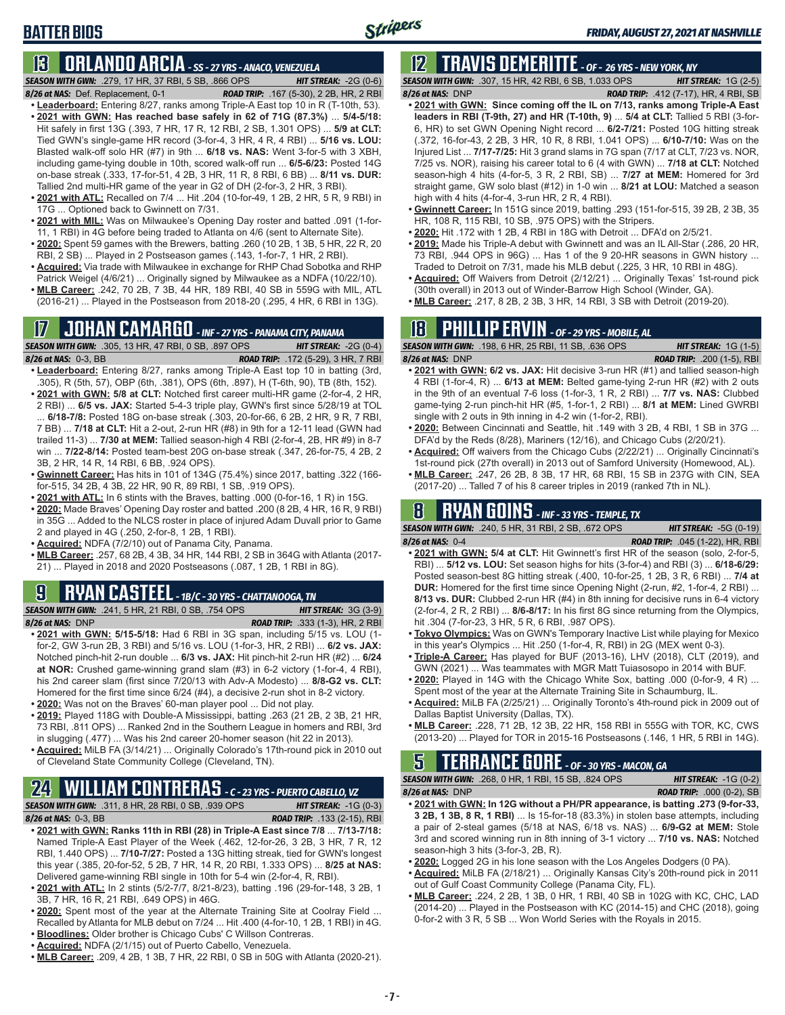# **13 ORLANDO ARCIA** *- SS - 27 YRS - ANACO, VENEZUELA*

*SEASON WITH GWN:*.279, 17 HR, 37 RBI, 5 SB, .866 OPS *HIT STREAK:* -2G (0-6)

**BATTER BIOS**

- *8/26 at NAS:*Def. Replacement, 0-1 *ROAD TRIP:* .167 (5-30), 2 2B, HR, 2 RBI **• Leaderboard:** Entering 8/27, ranks among Triple-A East top 10 in R (T-10th, 53). **• 2021 with GWN: Has reached base safely in 62 of 71G (87.3%)** ... **5/4-5/18:**  Hit safely in first 13G (.393, 7 HR, 17 R, 12 RBI, 2 SB, 1.301 OPS) ... **5/9 at CLT:** Tied GWN's single-game HR record (3-for-4, 3 HR, 4 R, 4 RBI) ... **5/16 vs. LOU:** Blasted walk-off solo HR (#7) in 9th ... **6/18 vs. NAS:** Went 3-for-5 with 3 XBH, including game-tying double in 10th, scored walk-off run ... **6/5-6/23:** Posted 14G on-base streak (.333, 17-for-51, 4 2B, 3 HR, 11 R, 8 RBI, 6 BB) ... **8/11 vs. DUR:** Tallied 2nd multi-HR game of the year in G2 of DH (2-for-3, 2 HR, 3 RBI).
- **• 2021 with ATL:** Recalled on 7/4 ... Hit .204 (10-for-49, 1 2B, 2 HR, 5 R, 9 RBI) in 17G ... Optioned back to Gwinnett on 7/31.
- **• 2021 with MIL:** Was on Milwaukee's Opening Day roster and batted .091 (1-for-11, 1 RBI) in 4G before being traded to Atlanta on 4/6 (sent to Alternate Site).
- **• 2020:** Spent 59 games with the Brewers, batting .260 (10 2B, 1 3B, 5 HR, 22 R, 20 RBI, 2 SB) ... Played in 2 Postseason games (.143, 1-for-7, 1 HR, 2 RBI).
- **• Acquired:** Via trade with Milwaukee in exchange for RHP Chad Sobotka and RHP Patrick Weigel (4/6/21) ... Originally signed by Milwaukee as a NDFA (10/22/10).
- **• MLB Career:** .242, 70 2B, 7 3B, 44 HR, 189 RBI, 40 SB in 559G with MIL, ATL (2016-21) ... Played in the Postseason from 2018-20 (.295, 4 HR, 6 RBI in 13G).

# **17 JOHAN CAMARGO** *- INF - 27 YRS - PANAMA CITY, PANAMA*

*SEASON WITH GWN:*.305, 13 HR, 47 RBI, 0 SB, .897 OPS *HIT STREAK:* -2G (0-4) *8/26 at NAS:* 0-3, BB *ROAD TRIP:* .172 (5-29), 3 HR, 7 RBI

- **• Leaderboard:** Entering 8/27, ranks among Triple-A East top 10 in batting (3rd, .305), R (5th, 57), OBP (6th, .381), OPS (6th, .897), H (T-6th, 90), TB (8th, 152).
- **• 2021 with GWN: 5/8 at CLT:** Notched first career multi-HR game (2-for-4, 2 HR, 2 RBI) ... **6/5 vs. JAX:** Started 5-4-3 triple play, GWN's first since 5/28/19 at TOL ... **6/18-7/8:** Posted 18G on-base streak (.303, 20-for-66, 6 2B, 2 HR, 9 R, 7 RBI, 7 BB) ... **7/18 at CLT:** Hit a 2-out, 2-run HR (#8) in 9th for a 12-11 lead (GWN had trailed 11-3) ... **7/30 at MEM:** Tallied season-high 4 RBI (2-for-4, 2B, HR #9) in 8-7 win ... **7/22-8/14:** Posted team-best 20G on-base streak (.347, 26-for-75, 4 2B, 2 3B, 2 HR, 14 R, 14 RBI, 6 BB, .924 OPS).
- **• Gwinnett Career:** Has hits in 101 of 134G (75.4%) since 2017, batting .322 (166 for-515, 34 2B, 4 3B, 22 HR, 90 R, 89 RBI, 1 SB, .919 OPS).
- **• 2021 with ATL:** In 6 stints with the Braves, batting .000 (0-for-16, 1 R) in 15G.
- **• 2020:** Made Braves' Opening Day roster and batted .200 (8 2B, 4 HR, 16 R, 9 RBI) in 35G ... Added to the NLCS roster in place of injured Adam Duvall prior to Game 2 and played in 4G (.250, 2-for-8, 1 2B, 1 RBI).
- **• Acquired:** NDFA (7/2/10) out of Panama City, Panama.
- **• MLB Career:** .257, 68 2B, 4 3B, 34 HR, 144 RBI, 2 SB in 364G with Atlanta (2017- 21) ... Played in 2018 and 2020 Postseasons (.087, 1 2B, 1 RBI in 8G).

# **9 RYAN CASTEEL** *- 1B/C - 30 YRS - CHATTANOOGA, TN*

*SEASON WITH GWN:*.241, 5 HR, 21 RBI, 0 SB, .754 OPS *HIT STREAK:* 3G (3-9)

- *8/26 at NAS:*DNP *ROAD TRIP:* .333 (1-3), HR, 2 RBI **• 2021 with GWN: 5/15-5/18:** Had 6 RBI in 3G span, including 5/15 vs. LOU (1 for-2, GW 3-run 2B, 3 RBI) and 5/16 vs. LOU (1-for-3, HR, 2 RBI) ... **6/2 vs. JAX:** Notched pinch-hit 2-run double ... **6/3 vs. JAX:** Hit pinch-hit 2-run HR (#2) ... **6/24 at NOR:** Crushed game-winning grand slam (#3) in 6-2 victory (1-for-4, 4 RBI), his 2nd career slam (first since 7/20/13 with Adv-A Modesto) ... **8/8-G2 vs. CLT:** Homered for the first time since 6/24 (#4), a decisive 2-run shot in 8-2 victory.
- **• 2020:** Was not on the Braves' 60-man player pool ... Did not play.
- **• 2019:** Played 118G with Double-A Mississippi, batting .263 (21 2B, 2 3B, 21 HR, 73 RBI, .811 OPS) ... Ranked 2nd in the Southern League in homers and RBI, 3rd in slugging (.477) ... Was his 2nd career 20-homer season (hit 22 in 2013).
- **• Acquired:** MiLB FA (3/14/21) ... Originally Colorado's 17th-round pick in 2010 out of Cleveland State Community College (Cleveland, TN).

### **24 WILLIAM CONTRERAS** *- C - 23 YRS - PUERTO CABELLO, VZ SEASON WITH GWN:*.311, 8 HR, 28 RBI, 0 SB, .939 OPS *HIT STREAK:* -1G (0-3)

*8/26 at NAS:* 0-3, BB *ROAD TRIP:* .133 (2-15), RBI

- **• 2021 with GWN: Ranks 11th in RBI (28) in Triple-A East since 7/8** ... **7/13-7/18:** Named Triple-A East Player of the Week (.462, 12-for-26, 3 2B, 3 HR, 7 R, 12 RBI, 1.440 OPS) ... **7/10-7/27:** Posted a 13G hitting streak, tied for GWN's longest this year (.385, 20-for-52, 5 2B, 7 HR, 14 R, 20 RBI, 1.333 OPS) ... **8/25 at NAS:** Delivered game-winning RBI single in 10th for 5-4 win (2-for-4, R, RBI).
- **• 2021 with ATL:** In 2 stints (5/2-7/7, 8/21-8/23), batting .196 (29-for-148, 3 2B, 1 3B, 7 HR, 16 R, 21 RBI, .649 OPS) in 46G.
- **• 2020:** Spent most of the year at the Alternate Training Site at Coolray Field ... Recalled by Atlanta for MLB debut on 7/24 ... Hit .400 (4-for-10, 1 2B, 1 RBI) in 4G.
- **• Bloodlines:** Older brother is Chicago Cubs' C Willson Contreras.
- **• Acquired:** NDFA (2/1/15) out of Puerto Cabello, Venezuela.
- **• MLB Career:** .209, 4 2B, 1 3B, 7 HR, 22 RBI, 0 SB in 50G with Atlanta (2020-21).

# **12 TRAVIS DEMERITTE** *- OF - 26 YRS - NEW YORK, NY*

*SEASON WITH GWN:*.307, 15 HR, 42 RBI, 6 SB, 1.033 OPS *HIT STREAK:* 1G (2-5) *8/26 at NAS:*DNP *ROAD TRIP:* .412 (7-17), HR, 4 RBI, SB

- **• 2021 with GWN: Since coming off the IL on 7/13, ranks among Triple-A East leaders in RBI (T-9th, 27) and HR (T-10th, 9)** ... **5/4 at CLT:** Tallied 5 RBI (3-for-6, HR) to set GWN Opening Night record ... **6/2-7/21:** Posted 10G hitting streak (.372, 16-for-43, 2 2B, 3 HR, 10 R, 8 RBI, 1.041 OPS) ... **6/10-7/10:** Was on the Injured List ... **7/17-7/25:** Hit 3 grand slams in 7G span (7/17 at CLT, 7/23 vs. NOR, 7/25 vs. NOR), raising his career total to 6 (4 with GWN) ... **7/18 at CLT:** Notched season-high 4 hits (4-for-5, 3 R, 2 RBI, SB) ... **7/27 at MEM:** Homered for 3rd straight game, GW solo blast (#12) in 1-0 win ... **8/21 at LOU:** Matched a season high with 4 hits (4-for-4, 3-run HR, 2 R, 4 RBI).
- **• Gwinnett Career:** In 151G since 2019, batting .293 (151-for-515, 39 2B, 2 3B, 35 HR, 108 R, 115 RBI, 10 SB, .975 OPS) with the Stripers.
- **• 2020:** Hit .172 with 1 2B, 4 RBI in 18G with Detroit ... DFA'd on 2/5/21.
- **• 2019:** Made his Triple-A debut with Gwinnett and was an IL All-Star (.286, 20 HR, 73 RBI, .944 OPS in 96G) ... Has 1 of the 9 20-HR seasons in GWN history ... Traded to Detroit on 7/31, made his MLB debut (.225, 3 HR, 10 RBI in 48G).
- **• Acquired:** Off Waivers from Detroit (2/12/21) ... Originally Texas' 1st-round pick (30th overall) in 2013 out of Winder-Barrow High School (Winder, GA).
- **• MLB Career:** .217, 8 2B, 2 3B, 3 HR, 14 RBI, 3 SB with Detroit (2019-20).

# **18 PHILLIP ERVIN** *- OF - 29 YRS - MOBILE, AL*

*SEASON WITH GWN:*.198, 6 HR, 25 RBI, 11 SB, .636 OPS *HIT STREAK:* 1G (1-5) *8/26 at NAS:*DNP *ROAD TRIP:* .200 (1-5), RBI

- **• 2021 with GWN: 6/2 vs. JAX:** Hit decisive 3-run HR (#1) and tallied season-high 4 RBI (1-for-4, R) ... **6/13 at MEM:** Belted game-tying 2-run HR (#2) with 2 outs in the 9th of an eventual 7-6 loss (1-for-3, 1 R, 2 RBI) ... **7/7 vs. NAS:** Clubbed game-tying 2-run pinch-hit HR (#5, 1-for-1, 2 RBI) ... **8/1 at MEM:** Lined GWRBI single with 2 outs in 9th inning in 4-2 win (1-for-2, RBI).
- **• 2020:** Between Cincinnati and Seattle, hit .149 with 3 2B, 4 RBI, 1 SB in 37G ... DFA'd by the Reds (8/28), Mariners (12/16), and Chicago Cubs (2/20/21).
- **• Acquired:** Off waivers from the Chicago Cubs (2/22/21) ... Originally Cincinnati's 1st-round pick (27th overall) in 2013 out of Samford University (Homewood, AL).
- **• MLB Career:** .247, 26 2B, 8 3B, 17 HR, 68 RBI, 15 SB in 237G with CIN, SEA (2017-20) ... Talled 7 of his 8 career triples in 2019 (ranked 7th in NL).

### **8 RYAN GOINS** *- INF - 33 YRS - TEMPLE, TX*

*SEASON WITH GWN:*.240, 5 HR, 31 RBI, 2 SB, .672 OPS *HIT STREAK:* -5G (0-19)

- *8/26 at NAS:*0-4 *ROAD TRIP:* .045 (1-22), HR, RBI **• 2021 with GWN: 5/4 at CLT:** Hit Gwinnett's first HR of the season (solo, 2-for-5, RBI) ... **5/12 vs. LOU:** Set season highs for hits (3-for-4) and RBI (3) ... **6/18-6/29:** Posted season-best 8G hitting streak (.400, 10-for-25, 1 2B, 3 R, 6 RBI) ... **7/4 at DUR:** Homered for the first time since Opening Night (2-run, #2, 1-for-4, 2 RBI) ... **8/13 vs. DUR:** Clubbed 2-run HR (#4) in 8th inning for decisive runs in 6-4 victory (2-for-4, 2 R, 2 RBI) ... **8/6-8/17:** In his first 8G since returning from the Olympics, hit .304 (7-for-23, 3 HR, 5 R, 6 RBI, .987 OPS).
- **• Tokyo Olympics:** Was on GWN's Temporary Inactive List while playing for Mexico in this year's Olympics ... Hit .250 (1-for-4, R, RBI) in 2G (MEX went 0-3).
- **• Triple-A Career:** Has played for BUF (2013-16), LHV (2018), CLT (2019), and GWN (2021) ... Was teammates with MGR Matt Tuiasosopo in 2014 with BUF.
- **• 2020:** Played in 14G with the Chicago White Sox, batting .000 (0-for-9, 4 R) ... Spent most of the year at the Alternate Training Site in Schaumburg, IL.
- **• Acquired:** MiLB FA (2/25/21) ... Originally Toronto's 4th-round pick in 2009 out of Dallas Baptist University (Dallas, TX).
- **• MLB Career:** .228, 71 2B, 12 3B, 22 HR, 158 RBI in 555G with TOR, KC, CWS (2013-20) ... Played for TOR in 2015-16 Postseasons (.146, 1 HR, 5 RBI in 14G).

### **5 TERRANCE GORE** *- OF - 30 YRS - MACON, GA SEASON WITH GWN:*.268, 0 HR, 1 RBI, 15 SB, .824 OPS *HIT STREAK:* -1G (0-2)

*8/26 at NAS:*DNP *ROAD TRIP:* .000 (0-2), SB

- **• 2021 with GWN: In 12G without a PH/PR appearance, is batting .273 (9-for-33, 3 2B, 1 3B, 8 R, 1 RBI)** ... Is 15-for-18 (83.3%) in stolen base attempts, including a pair of 2-steal games (5/18 at NAS, 6/18 vs. NAS) ... **6/9-G2 at MEM:** Stole 3rd and scored winning run in 8th inning of 3-1 victory ... **7/10 vs. NAS:** Notched season-high 3 hits (3-for-3, 2B, R).
- **• 2020:** Logged 2G in his lone season with the Los Angeles Dodgers (0 PA).
- **• Acquired:** MiLB FA (2/18/21) ... Originally Kansas City's 20th-round pick in 2011 out of Gulf Coast Community College (Panama City, FL).
- **• MLB Career:** .224, 2 2B, 1 3B, 0 HR, 1 RBI, 40 SB in 102G with KC, CHC, LAD (2014-20) ... Played in the Postseason with KC (2014-15) and CHC (2018), going 0-for-2 with 3 R, 5 SB ... Won World Series with the Royals in 2015.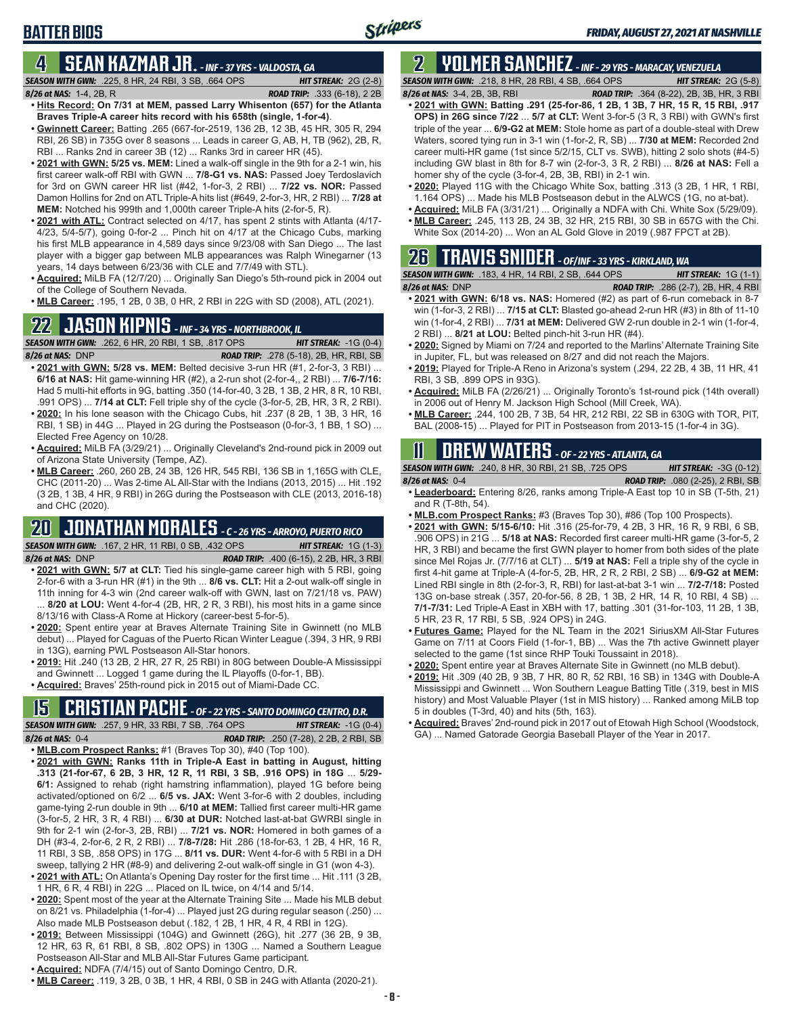### **BATTER BIOS**

### **4 SEAN KAZMAR JR.** *- INF - 37 YRS - VALDOSTA, GA*

*SEASON WITH GWN:*.225, 8 HR, 24 RBI, 3 SB, .664 OPS *HIT STREAK:* 2G (2-8) *8/26 at NAS:*1-4, 2B, R *ROAD TRIP:* .333 (6-18), 2 2B

- **• Hits Record: On 7/31 at MEM, passed Larry Whisenton (657) for the Atlanta Braves Triple-A career hits record with his 658th (single, 1-for-4)**. **• Gwinnett Career:** Batting .265 (667-for-2519, 136 2B, 12 3B, 45 HR, 305 R, 294
- RBI, 26 SB) in 735G over 8 seasons ... Leads in career G, AB, H, TB (962), 2B, R, RBI ... Ranks 2nd in career 3B (12) ... Ranks 3rd in career HR (45).
- **• 2021 with GWN: 5/25 vs. MEM:** Lined a walk-off single in the 9th for a 2-1 win, his first career walk-off RBI with GWN ... **7/8-G1 vs. NAS:** Passed Joey Terdoslavich for 3rd on GWN career HR list (#42, 1-for-3, 2 RBI) ... **7/22 vs. NOR:** Passed Damon Hollins for 2nd on ATL Triple-A hits list (#649, 2-for-3, HR, 2 RBI) ... **7/28 at MEM:** Notched his 999th and 1,000th career Triple-A hits (2-for-5, R).
- **• 2021 with ATL:** Contract selected on 4/17, has spent 2 stints with Atlanta (4/17- 4/23, 5/4-5/7), going 0-for-2 ... Pinch hit on 4/17 at the Chicago Cubs, marking his first MLB appearance in 4,589 days since 9/23/08 with San Diego ... The last player with a bigger gap between MLB appearances was Ralph Winegarner (13 years, 14 days between 6/23/36 with CLE and 7/7/49 with STL).
- **• Acquired:** MiLB FA (12/7/20) ... Originally San Diego's 5th-round pick in 2004 out of the College of Southern Nevada.
- **• MLB Career:** .195, 1 2B, 0 3B, 0 HR, 2 RBI in 22G with SD (2008), ATL (2021).

# **22 JASON KIPNIS** *- INF - 34 YRS - NORTHBROOK, IL*

*SEASON WITH GWN:*.262, 6 HR, 20 RBI, 1 SB, .817 OPS *HIT STREAK:* -1G (0-4) *8/26 at NAS:*DNP *ROAD TRIP:* .278 (5-18), 2B, HR, RBI, SB

- **• 2021 with GWN: 5/28 vs. MEM:** Belted decisive 3-run HR (#1, 2-for-3, 3 RBI) ... **6/16 at NAS:** Hit game-winning HR (#2), a 2-run shot (2-for-4,, 2 RBI) ... **7/6-7/16:** Had 5 multi-hit efforts in 9G, batting .350 (14-for-40, 3 2B, 1 3B, 2 HR, 8 R, 10 RBI, .991 OPS) ... **7/14 at CLT:** Fell triple shy of the cycle (3-for-5, 2B, HR, 3 R, 2 RBI).
- **• 2020:** In his lone season with the Chicago Cubs, hit .237 (8 2B, 1 3B, 3 HR, 16 RBI, 1 SB) in 44G ... Played in 2G during the Postseason (0-for-3, 1 BB, 1 SO) ... Elected Free Agency on 10/28.
- **• Acquired:** MiLB FA (3/29/21) ... Originally Cleveland's 2nd-round pick in 2009 out of Arizona State University (Tempe, AZ).
- **• MLB Career:** .260, 260 2B, 24 3B, 126 HR, 545 RBI, 136 SB in 1,165G with CLE, CHC (2011-20) ... Was 2-time AL All-Star with the Indians (2013, 2015) ... Hit .192 (3 2B, 1 3B, 4 HR, 9 RBI) in 26G during the Postseason with CLE (2013, 2016-18) and CHC (2020).

### **20 JONATHAN MORALES** *- C - 26 YRS - ARROYO, PUERTO RICO SEASON WITH GWN:*.167, 2 HR, 11 RBI, 0 SB, .432 OPS *HIT STREAK:* 1G (1-3)

- *8/26 at NAS:*DNP *ROAD TRIP:* .400 (6-15), 2 2B, HR, 3 RBI **• 2021 with GWN: 5/7 at CLT:** Tied his single-game career high with 5 RBI, going 2-for-6 with a 3-run HR (#1) in the 9th ... **8/6 vs. CLT:** Hit a 2-out walk-off single in 11th inning for 4-3 win (2nd career walk-off with GWN, last on 7/21/18 vs. PAW) ... **8/20 at LOU:** Went 4-for-4 (2B, HR, 2 R, 3 RBI), his most hits in a game since 8/13/16 with Class-A Rome at Hickory (career-best 5-for-5).
- **• 2020:** Spent entire year at Braves Alternate Training Site in Gwinnett (no MLB debut) ... Played for Caguas of the Puerto Rican Winter League (.394, 3 HR, 9 RBI in 13G), earning PWL Postseason All-Star honors.
- **• 2019:** Hit .240 (13 2B, 2 HR, 27 R, 25 RBI) in 80G between Double-A Mississippi and Gwinnett ... Logged 1 game during the IL Playoffs (0-for-1, BB).
- **• Acquired:** Braves' 25th-round pick in 2015 out of Miami-Dade CC.

# **15 CRISTIAN PACHE** *- OF - 22 YRS - SANTO DOMINGO CENTRO, D.R.*

*SEASON WITH GWN:*.257, 9 HR, 33 RBI, 7 SB, .764 OPS *HIT STREAK:* -1G (0-4) *8/26 at NAS:* 0-4 *ROAD TRIP:* .250 (7-28), 2 2B, 2 RBI, SB

- **• MLB.com Prospect Ranks:** #1 (Braves Top 30), #40 (Top 100).
- **• 2021 with GWN: Ranks 11th in Triple-A East in batting in August, hitting .313 (21-for-67, 6 2B, 3 HR, 12 R, 11 RBI, 3 SB, .916 OPS) in 18G** ... **5/29- 6/1:** Assigned to rehab (right hamstring inflammation), played 1G before being activated/optioned on 6/2 ... **6/5 vs. JAX:** Went 3-for-6 with 2 doubles, including game-tying 2-run double in 9th ... **6/10 at MEM:** Tallied first career multi-HR game (3-for-5, 2 HR, 3 R, 4 RBI) ... **6/30 at DUR:** Notched last-at-bat GWRBI single in 9th for 2-1 win (2-for-3, 2B, RBI) ... **7/21 vs. NOR:** Homered in both games of a DH (#3-4, 2-for-6, 2 R, 2 RBI) ... **7/8-7/28:** Hit .286 (18-for-63, 1 2B, 4 HR, 16 R, 11 RBI, 3 SB, .858 OPS) in 17G ... **8/11 vs. DUR:** Went 4-for-6 with 5 RBI in a DH sweep, tallying 2 HR (#8-9) and delivering 2-out walk-off single in G1 (won 4-3).
- **• 2021 with ATL:** On Atlanta's Opening Day roster for the first time ... Hit .111 (3 2B, 1 HR, 6 R, 4 RBI) in 22G ... Placed on IL twice, on 4/14 and 5/14.
- **• 2020:** Spent most of the year at the Alternate Training Site ... Made his MLB debut on 8/21 vs. Philadelphia (1-for-4) ... Played just 2G during regular season (.250) ... Also made MLB Postseason debut (.182, 1 2B, 1 HR, 4 R, 4 RBI in 12G).
- **• 2019:** Between Mississippi (104G) and Gwinnett (26G), hit .277 (36 2B, 9 3B, 12 HR, 63 R, 61 RBI, 8 SB, .802 OPS) in 130G ... Named a Southern League Postseason All-Star and MLB All-Star Futures Game participant.
- **• Acquired:** NDFA (7/4/15) out of Santo Domingo Centro, D.R.
- **• MLB Career:** .119, 3 2B, 0 3B, 1 HR, 4 RBI, 0 SB in 24G with Atlanta (2020-21).

# **2 YOLMER SANCHEZ** *- INF - 29 YRS - MARACAY, VENEZUELA*

*SEASON WITH GWN:*.218, 8 HR, 28 RBI, 4 SB, .664 OPS *HIT STREAK:* 2G (5-8)

- *8/26 at NAS:*3-4, 2B, 3B, RBI *ROAD TRIP:* .364 (8-22), 2B, 3B, HR, 3 RBI **• 2021 with GWN: Batting .291 (25-for-86, 1 2B, 1 3B, 7 HR, 15 R, 15 RBI, .917 OPS) in 26G since 7/22** ... **5/7 at CLT:** Went 3-for-5 (3 R, 3 RBI) with GWN's first triple of the year ... **6/9-G2 at MEM:** Stole home as part of a double-steal with Drew Waters, scored tying run in 3-1 win (1-for-2, R, SB) ... **7/30 at MEM:** Recorded 2nd career multi-HR game (1st since 5/2/15, CLT vs. SWB), hitting 2 solo shots (#4-5) including GW blast in 8th for 8-7 win (2-for-3, 3 R, 2 RBI) ... **8/26 at NAS:** Fell a homer shy of the cycle (3-for-4, 2B, 3B, RBI) in 2-1 win.
- **• 2020:** Played 11G with the Chicago White Sox, batting .313 (3 2B, 1 HR, 1 RBI, 1.164 OPS) ... Made his MLB Postseason debut in the ALWCS (1G, no at-bat).
- **• Acquired:** MiLB FA (3/31/21) ... Originally a NDFA with Chi. White Sox (5/29/09). **• MLB Career:** .245, 113 2B, 24 3B, 32 HR, 215 RBI, 30 SB in 657G with the Chi.
- White Sox (2014-20) ... Won an AL Gold Glove in 2019 (.987 FPCT at 2B).

### **26 TRAVIS SNIDER** *- OF/INF - 33 YRS - KIRKLAND, WA SEASON WITH GWN:*.183, 4 HR, 14 RBI, 2 SB, .644 OPS *HIT STREAK:* 1G (1-1)

- *8/26 at NAS:* DNP *ROAD TRIP:* .286 (2-7), 2B, HR, 4 RBI **• 2021 with GWN: 6/18 vs. NAS:** Homered (#2) as part of 6-run comeback in 8-7 win (1-for-3, 2 RBI) ... **7/15 at CLT:** Blasted go-ahead 2-run HR (#3) in 8th of 11-10 win (1-for-4, 2 RBI) ... **7/31 at MEM:** Delivered GW 2-run double in 2-1 win (1-for-4, 2 RBI) ... **8/21 at LOU:** Belted pinch-hit 3-run HR (#4).
- **• 2020:** Signed by Miami on 7/24 and reported to the Marlins' Alternate Training Site
- in Jupiter, FL, but was released on 8/27 and did not reach the Majors. **• 2019:** Played for Triple-A Reno in Arizona's system (.294, 22 2B, 4 3B, 11 HR, 41
- RBI, 3 SB, .899 OPS in 93G). **• Acquired:** MiLB FA (2/26/21) ... Originally Toronto's 1st-round pick (14th overall) in 2006 out of Henry M. Jackson High School (Mill Creek, WA).
- **• MLB Career:** .244, 100 2B, 7 3B, 54 HR, 212 RBI, 22 SB in 630G with TOR, PIT, BAL (2008-15) ... Played for PIT in Postseason from 2013-15 (1-for-4 in 3G).

# **11 Drew WATERS** *- OF - 22 YRS - ATLANTA, GA*

*SEASON WITH GWN:*.240, 8 HR, 30 RBI, 21 SB, .725 OPS *HIT STREAK:* -3G (0-12) *8/26 at NAS:*0-4 *ROAD TRIP:* .080 (2-25), 2 RBI, SB

- **• Leaderboard:** Entering 8/26, ranks among Triple-A East top 10 in SB (T-5th, 21) and R (T-8th, 54).
- **• MLB.com Prospect Ranks:** #3 (Braves Top 30), #86 (Top 100 Prospects).
- **• 2021 with GWN: 5/15-6/10:** Hit .316 (25-for-79, 4 2B, 3 HR, 16 R, 9 RBI, 6 SB, .906 OPS) in 21G ... **5/18 at NAS:** Recorded first career multi-HR game (3-for-5, 2 HR, 3 RBI) and became the first GWN player to homer from both sides of the plate since Mel Rojas Jr. (7/7/16 at CLT) ... **5/19 at NAS:** Fell a triple shy of the cycle in first 4-hit game at Triple-A (4-for-5, 2B, HR, 2 R, 2 RBI, 2 SB) ... **6/9-G2 at MEM:** Lined RBI single in 8th (2-for-3, R, RBI) for last-at-bat 3-1 win ... **7/2-7/18:** Posted 13G on-base streak (.357, 20-for-56, 8 2B, 1 3B, 2 HR, 14 R, 10 RBI, 4 SB) ... **7/1-7/31:** Led Triple-A East in XBH with 17, batting .301 (31-for-103, 11 2B, 1 3B, 5 HR, 23 R, 17 RBI, 5 SB, .924 OPS) in 24G.
- **• Futures Game:** Played for the NL Team in the 2021 SiriusXM All-Star Futures Game on 7/11 at Coors Field (1-for-1, BB) ... Was the 7th active Gwinnett player selected to the game (1st since RHP Touki Toussaint in 2018).
- **• 2020:** Spent entire year at Braves Alternate Site in Gwinnett (no MLB debut).
- **• 2019:** Hit .309 (40 2B, 9 3B, 7 HR, 80 R, 52 RBI, 16 SB) in 134G with Double-A Mississippi and Gwinnett ... Won Southern League Batting Title (.319, best in MIS history) and Most Valuable Player (1st in MIS history) ... Ranked among MiLB top 5 in doubles (T-3rd, 40) and hits (5th, 163).
- **• Acquired:** Braves' 2nd-round pick in 2017 out of Etowah High School (Woodstock, GA) ... Named Gatorade Georgia Baseball Player of the Year in 2017.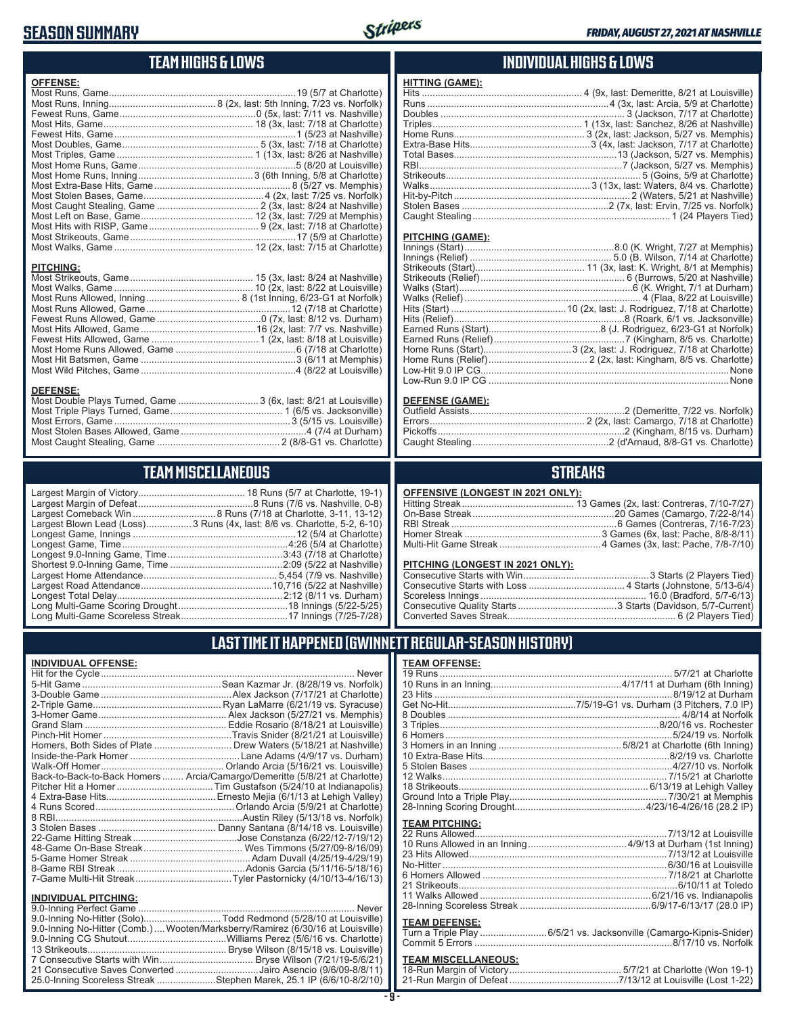### **SEASON SUMMARY**

**INDIVIDUAL OFFENSE:**



### **TEAM HIGHS & LOWS**

| <b>OFFENSE:</b>                                                  |  |
|------------------------------------------------------------------|--|
|                                                                  |  |
|                                                                  |  |
|                                                                  |  |
|                                                                  |  |
|                                                                  |  |
|                                                                  |  |
|                                                                  |  |
|                                                                  |  |
|                                                                  |  |
|                                                                  |  |
|                                                                  |  |
|                                                                  |  |
|                                                                  |  |
|                                                                  |  |
|                                                                  |  |
|                                                                  |  |
|                                                                  |  |
| <b>PITCHING:</b>                                                 |  |
|                                                                  |  |
|                                                                  |  |
|                                                                  |  |
|                                                                  |  |
|                                                                  |  |
|                                                                  |  |
|                                                                  |  |
|                                                                  |  |
|                                                                  |  |
|                                                                  |  |
|                                                                  |  |
|                                                                  |  |
| <b>DEFENSE:</b>                                                  |  |
| Most Double Plays Turned, Game  3 (6x, last: 8/21 at Louisville) |  |
|                                                                  |  |
|                                                                  |  |

### **TEAM MISCELLANEOUS**

Most Caught Stealing, Game .............................................. 2 (8/8-G1 vs. Charlotte)

| Largest Blown Lead (Loss)3 Runs (4x, last: 8/6 vs. Charlotte, 5-2, 6-10) |
|--------------------------------------------------------------------------|
|                                                                          |
|                                                                          |
|                                                                          |
|                                                                          |
|                                                                          |
|                                                                          |
|                                                                          |
|                                                                          |
|                                                                          |

## **INDIVIDUAL HIGHS & LOWS**

#### **PITCHING (GAME):**

#### **DEFENSE (GAME):**

### **STREAKS**

#### **OFFENSIVE (LONGEST IN 2021 ONLY):**

#### **PITCHING (LONGEST IN 2021 ONLY):**

19 Runs ....................................................................................... 5/7/21 at Charlotte 10 Runs in an Inning.................................................4/17/11 at Durham (6th Inning)

### **LAST TIME IT HAPPENED (GWINNETT REGULAR-SEASON HISTORY)**

|                             | Homers, Both Sides of Plate  Drew Waters (5/18/21 at Nashville)            |
|-----------------------------|----------------------------------------------------------------------------|
|                             |                                                                            |
|                             |                                                                            |
|                             | Back-to-Back-to-Back Homers  Arcia/Camargo/Demeritte (5/8/21 at Charlotte) |
|                             |                                                                            |
|                             |                                                                            |
|                             |                                                                            |
|                             |                                                                            |
|                             |                                                                            |
|                             |                                                                            |
|                             |                                                                            |
|                             |                                                                            |
|                             |                                                                            |
|                             |                                                                            |
| <b>INDIVIDUAL PITCHING:</b> |                                                                            |
| 0.0 Inning Porfoot Camo     | Novor                                                                      |

| 9.0-Inning No-Hitter (Solo)Todd Redmond (5/28/10 at Louisville)                 |
|---------------------------------------------------------------------------------|
| 9.0-Inning No-Hitter (Comb.)  Wooten/Marksberry/Ramirez (6/30/16 at Louisville) |
|                                                                                 |
|                                                                                 |
|                                                                                 |
| 21 Consecutive Saves Converted Jairo Asencio (9/6/09-8/8/11)                    |
| 25.0-Inning Scoreless Streak Stephen Marek, 25.1 IP (6/6/10-8/2/10)             |

**TEAM OFFENSE:**

| <b>TEAM PITCHING:</b> |                         |
|-----------------------|-------------------------|
|                       |                         |
|                       |                         |
|                       |                         |
| 23 Hits Allowed       | $7/13/12$ at Louisville |

| 6 Homers Allowed ……………………………………………………………………………7/18/21 at Charlotte |  |
|--------------------------------------------------------------------|--|
|                                                                    |  |
|                                                                    |  |
|                                                                    |  |

#### **TEAM DEFENSE:**

| . |                                                                    |
|---|--------------------------------------------------------------------|
|   | Turn a Triple Play 6/5/21 vs. Jacksonville (Camargo-Kipnis-Snider) |
|   |                                                                    |

## **TEAM MISCELLANEOUS:**<br>18-Run Margin of Victory....